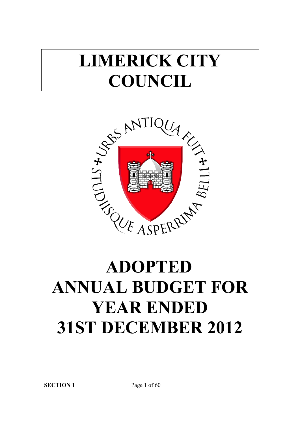## **LIMERICK CITY COUNCIL**



# **ANNUAL BUDGET FOR YEAR ENDED 31ST DECEMBER 2012**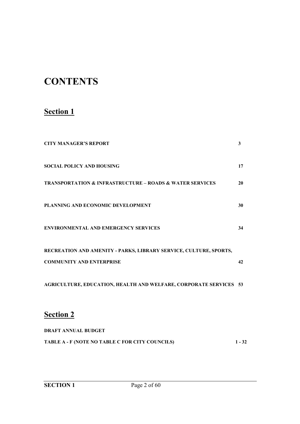## **CONTENTS**

## **Section 1**

| <b>CITY MANAGER'S REPORT</b>                                            | 3        |
|-------------------------------------------------------------------------|----------|
| <b>SOCIAL POLICY AND HOUSING</b>                                        | 17       |
| <b>TRANSPORTATION &amp; INFRASTRUCTURE - ROADS &amp; WATER SERVICES</b> | 20       |
| PLANNING AND ECONOMIC DEVELOPMENT                                       | 30       |
| <b>ENVIRONMENTAL AND EMERGENCY SERVICES</b>                             | 34       |
| RECREATION AND AMENITY - PARKS, LIBRARY SERVICE, CULTURE, SPORTS,       |          |
| <b>COMMUNITY AND ENTERPRISE</b>                                         | 42       |
| AGRICULTURE, EDUCATION, HEALTH AND WELFARE, CORPORATE SERVICES 53       |          |
| <b>Section 2</b>                                                        |          |
| <b>DRAFT ANNUAL BUDGET</b>                                              |          |
| TABLE A - F (NOTE NO TABLE C FOR CITY COUNCILS)                         | $1 - 32$ |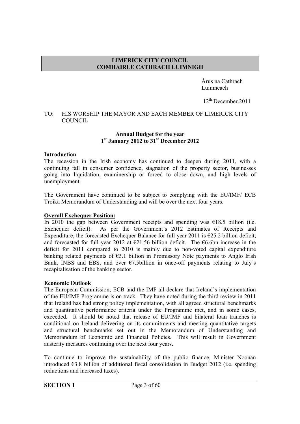#### **LIMERICK CITY COUNCIL COMHAIRLE CATHRACH LUIMNIGH**

 Árus na Cathrach Luimneach

12<sup>th</sup> December 2011

#### TO: HIS WORSHIP THE MAYOR AND EACH MEMBER OF LIMERICK CITY COUNCIL

#### **Annual Budget for the year 1st January 2012 to 31st December 2012**

#### **Introduction**

The recession in the Irish economy has continued to deepen during 2011, with a continuing fall in consumer confidence, stagnation of the property sector, businesses going into liquidation, examinership or forced to close down, and high levels of unemployment.

The Government have continued to be subject to complying with the EU/IMF/ ECB Troika Memorandum of Understanding and will be over the next four years.

#### **Overall Exchequer Position:**

In 2010 the gap between Government receipts and spending was  $\epsilon$ 18.5 billion (i.e. Exchequer deficit). As per the Government's 2012 Estimates of Receipts and Expenditure, the forecasted Exchequer Balance for full year 2011 is  $\epsilon$ 25.2 billion deficit, and forecasted for full year 2012 at  $\epsilon$ 21.56 billion deficit. The  $\epsilon$ 6.6bn increase in the deficit for 2011 compared to 2010 is mainly due to non-voted capital expenditure banking related payments of  $\epsilon$ 3.1 billion in Promissory Note payments to Anglo Irish Bank, INBS and EBS, and over  $\epsilon$ 7.5billion in once-off payments relating to July's recapitalisation of the banking sector.

#### **Economic Outlook**

The European Commission, ECB and the IMF all declare that Ireland's implementation of the EU/IMF Programme is on track. They have noted during the third review in 2011 that Ireland has had strong policy implementation, with all agreed structural benchmarks and quantitative performance criteria under the Programme met, and in some cases, exceeded. It should be noted that release of EU/IMF and bilateral loan tranches is conditional on Ireland delivering on its commitments and meeting quantitative targets and structural benchmarks set out in the Memorandum of Understanding and Memorandum of Economic and Financial Policies. This will result in Government austerity measures continuing over the next four years.

To continue to improve the sustainability of the public finance, Minister Noonan introduced  $\epsilon$ 3.8 billion of additional fiscal consolidation in Budget 2012 (i.e. spending reductions and increased taxes).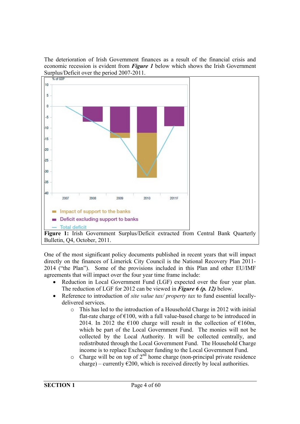The deterioration of Irish Government finances as a result of the financial crisis and economic recession is evident from *Figure 1* below which shows the Irish Government Surplus/Deficit over the period 2007-2011.



One of the most significant policy documents published in recent years that will impact directly on the finances of Limerick City Council is the National Recovery Plan 2011- 2014 ("the Plan"). Some of the provisions included in this Plan and other EU/IMF agreements that will impact over the four year time frame include:

- Reduction in Local Government Fund (LGF) expected over the four year plan. The reduction of LGF for 2012 can be viewed in *Figure 6 (p. 12)* below.
- Reference to introduction of *site value tax/ property tax* to fund essential locallydelivered services.
	- o This has led to the introduction of a Household Charge in 2012 with initial flat-rate charge of  $\epsilon$ 100, with a full value-based charge to be introduced in 2014. In 2012 the  $\epsilon$ 100 charge will result in the collection of  $\epsilon$ 160m, which be part of the Local Government Fund. The monies will not be collected by the Local Authority. It will be collected centrally, and redistributed through the Local Government Fund. The Household Charge income is to replace Exchequer funding to the Local Government Fund.
	- $\circ$  Charge will be on top of 2<sup>nd</sup> home charge (non-principal private residence charge) – currently  $\epsilon$ 200, which is received directly by local authorities.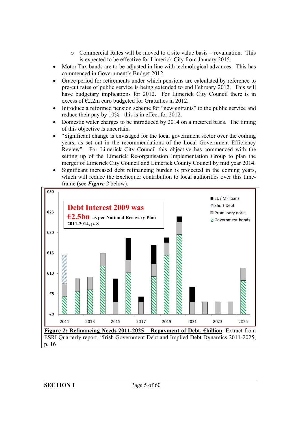- o Commercial Rates will be moved to a site value basis revaluation. This is expected to be effective for Limerick City from January 2015.
- Motor Tax bands are to be adjusted in line with technological advances. This has commenced in Government's Budget 2012.
- Grace-period for retirements under which pensions are calculated by reference to pre-cut rates of public service is being extended to end February 2012. This will have budgetary implications for 2012. For Limerick City Council there is in excess of  $E2.2m$  euro budgeted for Gratuities in 2012.
- Introduce a reformed pension scheme for "new entrants" to the public service and reduce their pay by  $10\%$  - this is in effect for 2012.
- Domestic water charges to be introduced by 2014 on a metered basis. The timing of this objective is uncertain.
- "Significant change is envisaged for the local government sector over the coming years, as set out in the recommendations of the Local Government Efficiency Review". For Limerick City Council this objective has commenced with the setting up of the Limerick Re-organisation Implementation Group to plan the merger of Limerick City Council and Limerick County Council by mid year 2014.
- Significant increased debt refinancing burden is projected in the coming years, which will reduce the Exchequer contribution to local authorities over this timeframe (see *Figure 2* below).

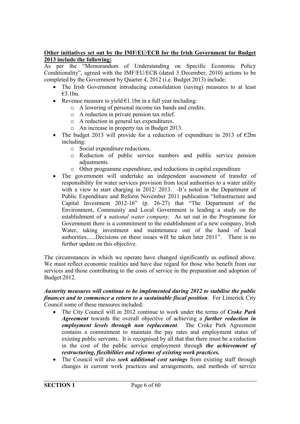#### **Other initiatives set out by the IMF/EU/ECB for the Irish Government for Budget 2013 include the following:**

As per the "Memorandum of Understanding on Specific Economic Policy Conditionality", agreed with the IMF/EU/ECB (dated 3 December, 2010) actions to be completed by the Government by Quarter 4, 2012 (i.e. Budget 2013) include:

- The Irish Government introducing consolidation (saving) measures to at least  $£3$  1bn.
- Revenue measure to yield  $\epsilon$ 1.1bn in a full year including:
	- o A lowering of personal income tax bands and credits.
	- o A reduction in private pension tax relief.
	- o A reduction in general tax expenditures.
	- o An increase in property tax in Budget 2013.
- The budget 2013 will provide for a reduction of expenditure in 2013 of  $\epsilon$ 2bn including:
	- o Social expenditure reductions.
	- o Reduction of public service numbers and public service pension adjustments.
	- o Other programme expenditure, and reductions in capital expenditure
- The government will undertake an independent assessment of transfer of responsibility for water services provision from local authorities to a water utility with a view to start charging in 2012/2013. -It's noted in the Department of Public Expenditure and Reform November 2011 publication "Infrastructure and Capital Investment 2012-16" (p. 26-27) that "The Department of the Environment, Community and Local Government is leading a study on the establishment of a *national water company*. As set out in the Programme for Government there is a commitment to the establishment of a new company, Irish Water, taking investment and maintenance out of the hand of local authorities......Decisions on these issues will be taken later 2011". There is no further update on this objective.

The circumstances in which we operate have changed significantly as outlined above. We must reflect economic realities and have due regard for those who benefit from our services and those contributing to the costs of service in the preparation and adoption of Budget 2012.

#### *Austerity measures will continue to be implemented during 2012 to stabilise the public finances and to commence a return to a sustainable fiscal position*. For Limerick City Council some of these measures included:

- The City Council will in 2012 continue to work under the terms of *Croke Park Agreement* towards the overall objective of achieving a *further reduction in employment levels through non replacement*. The Croke Park Agreement contains a commitment to maintain the pay rates and employment status of existing public servants. It is recognised by all that that there must be a reduction in the cost of the public service employment through *the achievement of restructuring, flexibilities and reforms of existing work practices.*
- The Council will also *seek additional cost savings* from existing staff through changes in current work practices and arrangements, and methods of service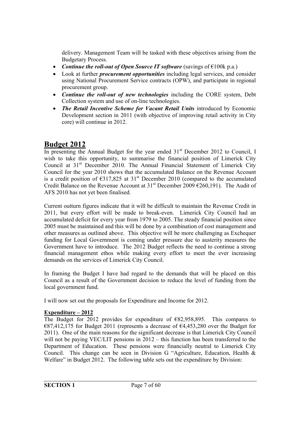delivery. Management Team will be tasked with these objectives arising from the Budgetary Process.

- *Continue the roll-out of Open Source IT software* (savings of €100k p.a.)
- Look at further *procurement opportunities* including legal services, and consider using National Procurement Service contracts (OPW), and participate in regional procurement group.
- *Continue the roll-out of new technologies* including the CORE system, Debt Collection system and use of on-line technologies.
- *The Retail Incentive Scheme for Vacant Retail Units* introduced by Economic Development section in 2011 (with objective of improving retail activity in City core) will continue in 2012.

## **Budget 2012**

In presenting the Annual Budget for the year ended  $31<sup>st</sup>$  December 2012 to Council, I wish to take this opportunity, to summarise the financial position of Limerick City Council at 31<sup>st</sup> December 2010. The Annual Financial Statement of Limerick City Council for the year 2010 shows that the accumulated Balance on the Revenue Account is a credit position of  $\epsilon$ 317,825 at 31<sup>st</sup> December 2010 (compared to the accumulated Credit Balance on the Revenue Account at  $31<sup>st</sup>$  December 2009  $\epsilon$ 260,191). The Audit of AFS 2010 has not yet been finalised.

Current outturn figures indicate that it will be difficult to maintain the Revenue Credit in 2011, but every effort will be made to break-even. Limerick City Council had an accumulated deficit for every year from 1979 to 2005. The steady financial position since 2005 must be maintained and this will be done by a combination of cost management and other measures as outlined above. This objective will be more challenging as Exchequer funding for Local Government is coming under pressure due to austerity measures the Government have to introduce. The 2012 Budget reflects the need to continue a strong financial management ethos while making every effort to meet the ever increasing demands on the services of Limerick City Council.

In framing the Budget I have had regard to the demands that will be placed on this Council as a result of the Government decision to reduce the level of funding from the local government fund.

I will now set out the proposals for Expenditure and Income for 2012.

#### **Expenditure – 2012**

The Budget for 2012 provides for expenditure of  $E$ 82,958,895. This compares to  $E$ 687,412,175 for Budget 2011 (represents a decrease of  $E$ 4,453,280 over the Budget for 2011). One of the main reasons for the significant decrease is that Limerick City Council will not be paying VEC/LIT pensions in 2012 – this function has been transferred to the Department of Education. These pensions were financially neutral to Limerick City Council. This change can be seen in Division G "Agriculture, Education, Health & Welfare" in Budget 2012. The following table sets out the expenditure by Division: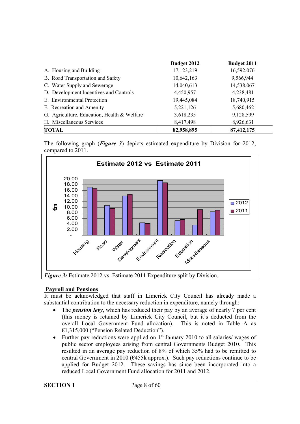|                                             | Budget 2012 | Budget 2011 |
|---------------------------------------------|-------------|-------------|
| A. Housing and Building                     | 17,123,219  | 16,592,076  |
| B. Road Transportation and Safety           | 10,642,163  | 9,566,944   |
| C. Water Supply and Sewerage                | 14,040,613  | 14,538,067  |
| D. Development Incentives and Controls      | 4,450,957   | 4,238,481   |
| E. Environmental Protection                 | 19,445,084  | 18,740,915  |
| F. Recreation and Amenity                   | 5,221,126   | 5,680,462   |
| G. Agriculture, Education, Health & Welfare | 3,618,235   | 9,128,599   |
| H. Miscellaneous Services                   | 8,417,498   | 8,926,631   |
| <b>TOTAL</b>                                | 82,958,895  | 87,412,175  |

The following graph (*Figure 3*) depicts estimated expenditure by Division for 2012, compared to 2011.



#### **Payroll and Pensions**

It must be acknowledged that staff in Limerick City Council has already made a substantial contribution to the necessary reduction in expenditure, namely through:

- The *pension levy*, which has reduced their pay by an average of nearly 7 per cent (this money is retained by Limerick City Council, but it's deducted from the overall Local Government Fund allocation). This is noted in Table A as €1,315,000 ("Pension Related Deduction").
- Further pay reductions were applied on  $1<sup>st</sup>$  January 2010 to all salaries/ wages of public sector employees arising from central Governments Budget 2010. This resulted in an average pay reduction of 8% of which 35% had to be remitted to central Government in 2010 ( $\epsilon$ 455k approx.). Such pay reductions continue to be applied for Budget 2012. These savings has since been incorporated into a reduced Local Government Fund allocation for 2011 and 2012.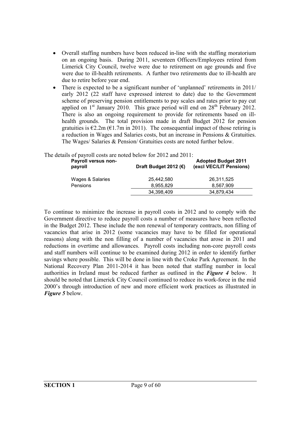- Overall staffing numbers have been reduced in-line with the staffing moratorium on an ongoing basis. During 2011, seventeen Officers/Employees retired from Limerick City Council, twelve were due to retirement on age grounds and five were due to ill-health retirements. A further two retirements due to ill-health are due to retire before year end.
- There is expected to be a significant number of 'unplanned' retirements in 2011/ early 2012 (22 staff have expressed interest to date) due to the Government scheme of preserving pension entitlements to pay scales and rates prior to pay cut applied on  $1<sup>st</sup>$  January 2010. This grace period will end on  $28<sup>th</sup>$  February 2012. There is also an ongoing requirement to provide for retirements based on illhealth grounds. The total provision made in draft Budget 2012 for pension gratuities is  $\epsilon$ 2.2m ( $\epsilon$ 1.7m in 2011). The consequential impact of those retiring is a reduction in Wages and Salaries costs, but an increase in Pensions & Gratuities. The Wages/ Salaries & Pension/ Gratuities costs are noted further below.

| Payroll versus non-<br>payroll | Draft Budget 2012 ( $\epsilon$ ) | <b>Adopted Budget 2011</b><br>(excl VEC/LIT Pensions) |
|--------------------------------|----------------------------------|-------------------------------------------------------|
| Wages & Salaries               | 25.442.580                       | 26,311,525                                            |
| Pensions                       | 8.955.829                        | 8.567.909                                             |
|                                | 34,398,409                       | 34,879,434                                            |

The details of payroll costs are noted below for 2012 and 2011:

To continue to minimize the increase in payroll costs in 2012 and to comply with the Government directive to reduce payroll costs a number of measures have been reflected in the Budget 2012. These include the non renewal of temporary contracts, non filling of vacancies that arise in 2012 (some vacancies may have to be filled for operational reasons) along with the non filling of a number of vacancies that arose in 2011 and reductions in overtime and allowances. Payroll costs including non-core payroll costs and staff numbers will continue to be examined during 2012 in order to identify further savings where possible. This will be done in line with the Croke Park Agreement. In the National Recovery Plan 2011-2014 it has been noted that staffing number in local authorities in Ireland must be reduced further as outlined in the *Figure 4* below. It should be noted that Limerick City Council continued to reduce its work-force in the mid 2000's through introduction of new and more efficient work practices as illustrated in *Figure 5* below.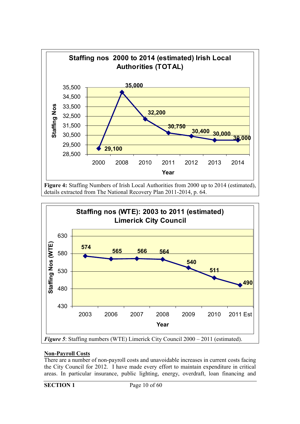

**Figure 4:** Staffing Numbers of Irish Local Authorities from 2000 up to 2014 (estimated), details extracted from The National Recovery Plan 2011-2014, p. 64.



#### **Non-Payroll Costs**

There are a number of non-payroll costs and unavoidable increases in current costs facing the City Council for 2012. I have made every effort to maintain expenditure in critical areas. In particular insurance, public lighting, energy, overdraft, loan financing and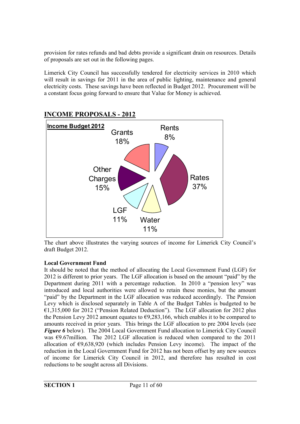provision for rates refunds and bad debts provide a significant drain on resources. Details of proposals are set out in the following pages.

Limerick City Council has successfully tendered for electricity services in 2010 which will result in savings for 2011 in the area of public lighting, maintenance and general electricity costs. These savings have been reflected in Budget 2012. Procurement will be a constant focus going forward to ensure that Value for Money is achieved.



## **INCOME PROPOSALS - 2012**

The chart above illustrates the varying sources of income for Limerick City Council's draft Budget 2012.

#### **Local Government Fund**

It should be noted that the method of allocating the Local Government Fund (LGF) for 2012 is different to prior years. The LGF allocation is based on the amount "paid" by the Department during 2011 with a percentage reduction. In 2010 a "pension levy" was introduced and local authorities were allowed to retain these monies, but the amount "paid" by the Department in the LGF allocation was reduced accordingly. The Pension Levy which is disclosed separately in Table A of the Budget Tables is budgeted to be €1,315,000 for 2012 ("Pension Related Deduction"). The LGF allocation for 2012 plus the Pension Levy 2012 amount equates to  $\epsilon$ 9,283,166, which enables it to be compared to amounts received in prior years. This brings the LGF allocation to pre 2004 levels (see *Figure 6* below). The 2004 Local Government Fund allocation to Limerick City Council was  $\epsilon$ 9.67million. The 2012 LGF allocation is reduced when compared to the 2011 allocation of  $\epsilon$ 9,638,920 (which includes Pension Levy income). The impact of the reduction in the Local Government Fund for 2012 has not been offset by any new sources of income for Limerick City Council in 2012, and therefore has resulted in cost reductions to be sought across all Divisions.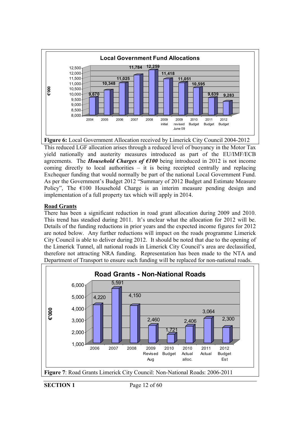

This reduced LGF allocation arises through a reduced level of buoyancy in the Motor Tax yield nationally and austerity measures introduced as part of the EU/IMF/ECB agreements. The *Household Charges of €100* being introduced in 2012 is not income coming directly to local authorities – it is being receipted centrally and replacing Exchequer funding that would normally be part of the national Local Government Fund. As per the Government's Budget 2012 "Summary of 2012 Budget and Estimate Measure Policy". The  $\epsilon$ 100 Household Charge is an interim measure pending design and implementation of a full property tax which will apply in 2014.

#### **Road Grants**

There has been a significant reduction in road grant allocation during 2009 and 2010. This trend has steadied during 2011. It's unclear what the allocation for 2012 will be. Details of the funding reductions in prior years and the expected income figures for 2012 are noted below. Any further reductions will impact on the roads programme Limerick City Council is able to deliver during 2012. It should be noted that due to the opening of the Limerick Tunnel, all national roads in Limerick City Council's area are declassified, therefore not attracting NRA funding. Representation has been made to the NTA and Department of Transport to ensure such funding will be replaced for non-national roads.

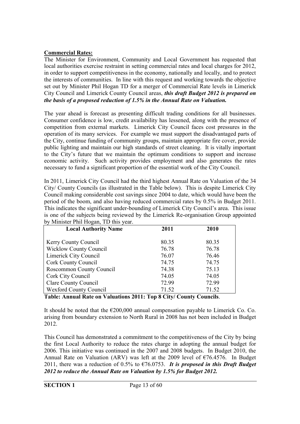#### **Commercial Rates:**

The Minister for Environment, Community and Local Government has requested that local authorities exercise restraint in setting commercial rates and local charges for 2012, in order to support competitiveness in the economy, nationally and locally, and to protect the interests of communities. In line with this request and working towards the objective set out by Minister Phil Hogan TD for a merger of Commercial Rate levels in Limerick City Council and Limerick County Council areas, *this draft Budget 2012 is prepared on the basis of a proposed reduction of 1.5% in the Annual Rate on Valuation.*

The year ahead is forecast as presenting difficult trading conditions for all businesses. Consumer confidence is low, credit availability has lessened, along with the presence of competition from external markets. Limerick City Council faces cost pressures in the operation of its many services. For example we must support the disadvantaged parts of the City, continue funding of community groups, maintain appropriate fire cover, provide public lighting and maintain our high standards of street cleaning. It is vitally important to the City's future that we maintain the optimum conditions to support and increase economic activity. Such activity provides employment and also generates the rates necessary to fund a significant proportion of the essential work of the City Council.

In 2011, Limerick City Council had the third highest Annual Rate on Valuation of the 34 City/ County Councils (as illustrated in the Table below). This is despite Limerick City Council making considerable cost savings since 2004 to date, which would have been the period of the boom, and also having reduced commercial rates by 0.5% in Budget 2011. This indicates the significant under-bounding of Limerick City Council's area. This issue is one of the subjects being reviewed by the Limerick Re-organisation Group appointed by Minister Phil Hogan, TD this year.

| <b>Local Authority Name</b>   | 2011  | 2010  |
|-------------------------------|-------|-------|
| <b>Kerry County Council</b>   | 80.35 | 80.35 |
| <b>Wicklow County Council</b> | 76.78 | 76.78 |
| Limerick City Council         | 76.07 | 76.46 |
| <b>Cork County Council</b>    | 74.75 | 74.75 |
| Roscommon County Council      | 74.38 | 75.13 |
| Cork City Council             | 74.05 | 74.05 |
| <b>Clare County Council</b>   | 72.99 | 72.99 |
| <b>Wexford County Council</b> | 71.52 | 71.52 |

**Table: Annual Rate on Valuations 2011: Top 8 City/ County Councils**.

It should be noted that the  $\epsilon$ 200,000 annual compensation payable to Limerick Co. Co. arising from boundary extension to North Rural in 2008 has not been included in Budget 2012.

This Council has demonstrated a commitment to the competitiveness of the City by being the first Local Authority to reduce the rates charge in adopting the annual budget for 2006. This initiative was continued in the 2007 and 2008 budgets. In Budget 2010, the Annual Rate on Valuation (ARV) was left at the 2009 level of  $\epsilon$ 76.4576. In Budget 2011, there was a reduction of 0.5% to €76.0753. *It is proposed in this Draft Budget 2012 to reduce the Annual Rate on Valuation by 1.5% for Budget 2012.*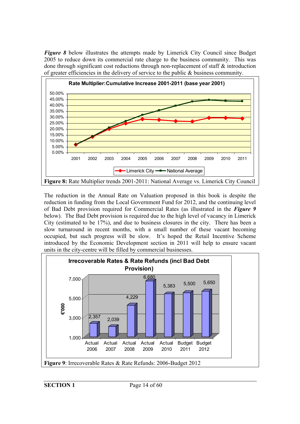*Figure 8* below illustrates the attempts made by Limerick City Council since Budget 2005 to reduce down its commercial rate charge to the business community. This was done through significant cost reductions through non-replacement of staff & introduction of greater efficiencies in the delivery of service to the public  $\&$  business community.



The reduction in the Annual Rate on Valuation proposed in this book is despite the reduction in funding from the Local Government Fund for 2012, and the continuing level of Bad Debt provision required for Commercial Rates (as illustrated in the *Figure 9* below). The Bad Debt provision is required due to the high level of vacancy in Limerick City (estimated to be 17%), and due to business closures in the city. There has been a slow turnaround in recent months, with a small number of these vacant becoming occupied, but such progress will be slow. It's hoped the Retail Incentive Scheme introduced by the Economic Development section in 2011 will help to ensure vacant units in the city-centre will be filled by commercial businesses.

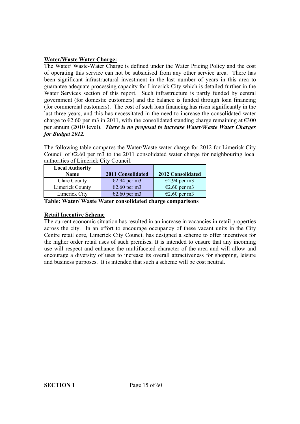#### **Water/Waste Water Charge:**

The Water/ Waste-Water Charge is defined under the Water Pricing Policy and the cost of operating this service can not be subsidised from any other service area. There has been significant infrastructural investment in the last number of years in this area to guarantee adequate processing capacity for Limerick City which is detailed further in the Water Services section of this report. Such infrastructure is partly funded by central government (for domestic customers) and the balance is funded through loan financing (for commercial customers). The cost of such loan financing has risen significantly in the last three years, and this has necessitated in the need to increase the consolidated water charge to  $\epsilon$ 2.60 per m3 in 2011, with the consolidated standing charge remaining at  $\epsilon$ 300 per annum (2010 level). *There is no proposal to increase Water/Waste Water Charges for Budget 2012.* 

The following table compares the Water/Waste water charge for 2012 for Limerick City Council of  $\epsilon$ 2.60 per m3 to the 2011 consolidated water charge for neighbouring local authorities of Limerick City Council.

| <b>Local Authority</b> |                        |                          |
|------------------------|------------------------|--------------------------|
| Name                   | 2011 Consolidated      | <b>2012 Consolidated</b> |
| Clare County           | $E2.94$ per m3         | $E2.94$ per m3           |
| Limerick County        | $€2.60$ per m3         | $E2.60$ per m3           |
| Limerick City          | $\epsilon$ 2.60 per m3 | $\epsilon$ 2.60 per m3   |

**Table: Water/ Waste Water consolidated charge comparisons**

#### **Retail Incentive Scheme**

The current economic situation has resulted in an increase in vacancies in retail properties across the city. In an effort to encourage occupancy of these vacant units in the City Centre retail core, Limerick City Council has designed a scheme to offer incentives for the higher order retail uses of such premises. It is intended to ensure that any incoming use will respect and enhance the multifaceted character of the area and will allow and encourage a diversity of uses to increase its overall attractiveness for shopping, leisure and business purposes. It is intended that such a scheme will be cost neutral.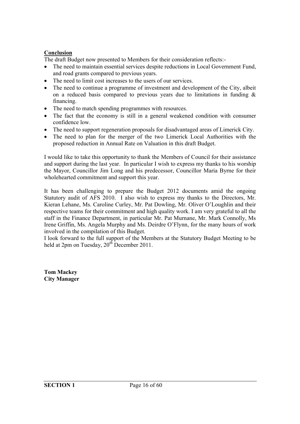#### **Conclusion**

The draft Budget now presented to Members for their consideration reflects:-

- The need to maintain essential services despite reductions in Local Government Fund, and road grants compared to previous years.
- The need to limit cost increases to the users of our services.
- The need to continue a programme of investment and development of the City, albeit on a reduced basis compared to previous years due to limitations in funding & financing.
- The need to match spending programmes with resources.
- The fact that the economy is still in a general weakened condition with consumer confidence low.
- The need to support regeneration proposals for disadvantaged areas of Limerick City.
- The need to plan for the merger of the two Limerick Local Authorities with the proposed reduction in Annual Rate on Valuation in this draft Budget.

I would like to take this opportunity to thank the Members of Council for their assistance and support during the last year. In particular I wish to express my thanks to his worship the Mayor, Councillor Jim Long and his predecessor, Councillor Maria Byrne for their wholehearted commitment and support this year.

It has been challenging to prepare the Budget 2012 documents amid the ongoing Statutory audit of AFS 2010. I also wish to express my thanks to the Directors, Mr. Kieran Lehane, Ms. Caroline Curley, Mr. Pat Dowling, Mr. Oliver O'Loughlin and their respective teams for their commitment and high quality work. I am very grateful to all the staff in the Finance Department, in particular Mr. Pat Murnane, Mr. Mark Connolly, Ms Irene Griffin, Ms. Angela Murphy and Ms. Deirdre O'Flynn, for the many hours of work involved in the compilation of this Budget.

I look forward to the full support of the Members at the Statutory Budget Meeting to be held at  $2pm$  on Tuesday,  $20^{th}$  December 2011.

**Tom Mackey City Manager**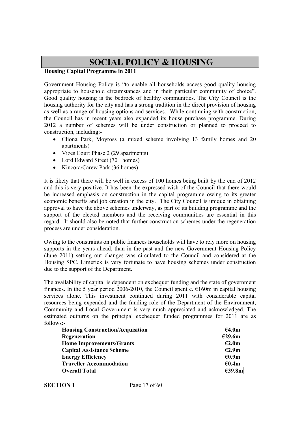## **SOCIAL POLICY & HOUSING**

#### **Housing Capital Programme in 2011**

Government Housing Policy is "to enable all households access good quality housing appropriate to household circumstances and in their particular community of choice". Good quality housing is the bedrock of healthy communities. The City Council is the housing authority for the city and has a strong tradition in the direct provision of housing as well as a range of housing options and services. While continuing with construction, the Council has in recent years also expanded its house purchase programme. During 2012 a number of schemes will be under construction or planned to proceed to construction, including:-

- Cliona Park, Moyross (a mixed scheme involving 13 family homes and 20 apartments)
- Vizes Court Phase 2 (29 apartments)
- Lord Edward Street (70+ homes)
- Kincora/Carew Park (36 homes)

It is likely that there will be well in excess of 100 homes being built by the end of 2012 and this is very positive. It has been the expressed wish of the Council that there would be increased emphasis on construction in the capital programme owing to its greater economic benefits and job creation in the city. The City Council is unique in obtaining approval to have the above schemes underway, as part of its building programme and the support of the elected members and the receiving communities are essential in this regard. It should also be noted that further construction schemes under the regeneration process are under consideration.

Owing to the constraints on public finances households will have to rely more on housing supports in the years ahead, than in the past and the new Government Housing Policy (June 2011) setting out changes was circulated to the Council and considered at the Housing SPC. Limerick is very fortunate to have housing schemes under construction due to the support of the Department.

The availability of capital is dependent on exchequer funding and the state of government finances. In the 5 year period 2006-2010, the Council spent c.  $\epsilon$ 160m in capital housing services alone. This investment continued during 2011 with considerable capital resources being expended and the funding role of the Department of the Environment, Community and Local Government is very much appreciated and acknowledged. The estimated outturns on the principal exchequer funded programmes for 2011 are as follows:-

| <b>Housing Construction/Acquisition</b> | €4.0m  |
|-----------------------------------------|--------|
| Regeneration                            | E29.6m |
| <b>Home Improvements/Grants</b>         | E2.0m  |
| <b>Capital Assistance Scheme</b>        | E2.9m  |
| <b>Energy Efficiency</b>                | €0.9m  |
| <b>Traveller Accommodation</b>          | €0.4m  |
| <b>Overall Total</b>                    | €39.8m |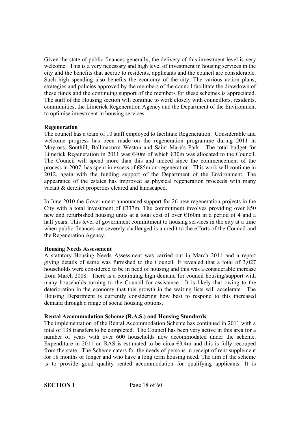Given the state of public finances generally, the delivery of this investment level is very welcome. This is a very necessary and high level of investment in housing services in the city and the benefits that accrue to residents, applicants and the council are considerable. Such high spending also benefits the economy of the city. The various action plans, strategies and policies approved by the members of the council facilitate the drawdown of these funds and the continuing support of the members for these schemes is appreciated. The staff of the Housing section will continue to work closely with councillors, residents, communities, the Limerick Regeneration Agency and the Department of the Environment to optimise investment in housing services.

#### **Regeneration**

The council has a team of 10 staff employed to facilitate Regeneration. Considerable and welcome progress has been made on the regeneration programme during 2011 in Moyross, Southill, Ballinacurra Weston and Saint Mary's Park. The total budget for Limerick Regeneration in 2011 was  $\epsilon$ 40m of which  $\epsilon$ 30m was allocated to the Council. The Council will spend more than this and indeed since the commencement of the process in 2007, has spent in excess of €85m on regeneration. This work will continue in 2012, again with the funding support of the Department of the Environment. The appearance of the estates has improved as physical regeneration proceeds with many vacant & derelict properties cleared and landscaped.

In June 2010 the Government announced support for 26 new regeneration projects in the City with a total investment of  $\epsilon$ 337m. The commitment involves providing over 850 new and refurbished housing units at a total cost of over €160m in a period of 4 and a half years. This level of government commitment to housing services in the city at a time when public finances are severely challenged is a credit to the efforts of the Council and the Regeneration Agency.

#### **Housing Needs Assessment**

A statutory Housing Needs Assessment was carried out in March 2011 and a report giving details of same was furnished to the Council. It revealed that a total of 3,027 households were considered to be in need of housing and this was a considerable increase from March 2008. There is a continuing high demand for council housing/support with many households turning to the Council for assistance. It is likely that owing to the deterioration in the economy that this growth in the waiting lists will accelerate. The Housing Department is currently considering how best to respond to this increased demand through a range of social housing options.

#### **Rental Accommodation Scheme (R.A.S.) and Housing Standards**

The implementation of the Rental Accommodation Scheme has continued in 2011 with a total of 138 transfers to be completed. The Council has been very active in this area for a number of years with over 600 households now accommodated under the scheme. Expenditure in 2011 on RAS is estimated to be circa  $\epsilon$ 3.4m and this is fully recouped from the state. The Scheme caters for the needs of persons in receipt of rent supplement for 18 months or longer and who have a long term housing need. The aim of the scheme is to provide good quality rented accommodation for qualifying applicants. It is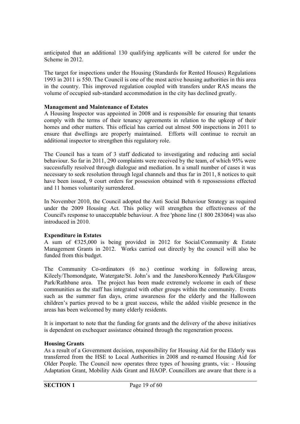anticipated that an additional 130 qualifying applicants will be catered for under the Scheme in 2012.

The target for inspections under the Housing (Standards for Rented Houses) Regulations 1993 in 2011 is 550. The Council is one of the most active housing authorities in this area in the country. This improved regulation coupled with transfers under RAS means the volume of occupied sub-standard accommodation in the city has declined greatly.

#### **Management and Maintenance of Estates**

A Housing Inspector was appointed in 2008 and is responsible for ensuring that tenants comply with the terms of their tenancy agreements in relation to the upkeep of their homes and other matters. This official has carried out almost 500 inspections in 2011 to ensure that dwellings are properly maintained. Efforts will continue to recruit an additional inspector to strengthen this regulatory role.

The Council has a team of 3 staff dedicated to investigating and reducing anti social behaviour. So far in 2011, 290 complaints were received by the team, of which 95% were successfully resolved through dialogue and mediation. In a small number of cases it was necessary to seek resolution through legal channels and thus far in 2011, 8 notices to quit have been issued, 9 court orders for possession obtained with 6 repossessions effected and 11 homes voluntarily surrendered.

In November 2010, the Council adopted the Anti Social Behaviour Strategy as required under the 2009 Housing Act. This policy will strengthen the effectiveness of the Council's response to unacceptable behaviour. A free 'phone line (1 800 283064) was also introduced in 2010.

#### **Expenditure in Estates**

A sum of €325,000 is being provided in 2012 for Social/Community & Estate Management Grants in 2012. Works carried out directly by the council will also be funded from this budget.

The Community Co-ordinators (6 no.) continue working in following areas, Kileely/Thomondgate, Watergate/St. John's and the Janesboro/Kennedy Park/Glasgow Park/Rathbane area. The project has been made extremely welcome in each of these communities as the staff has integrated with other groups within the community. Events such as the summer fun days, crime awareness for the elderly and the Halloween children's parties proved to be a great success, while the added visible presence in the areas has been welcomed by many elderly residents.

It is important to note that the funding for grants and the delivery of the above initiatives is dependent on exchequer assistance obtained through the regeneration process.

#### **Housing Grants**

As a result of a Government decision, responsibility for Housing Aid for the Elderly was transferred from the HSE to Local Authorities in 2008 and re-named Housing Aid for Older People. The Council now operates three types of housing grants, via: - Housing Adaptation Grant, Mobility Aids Grant and HAOP. Councillors are aware that there is a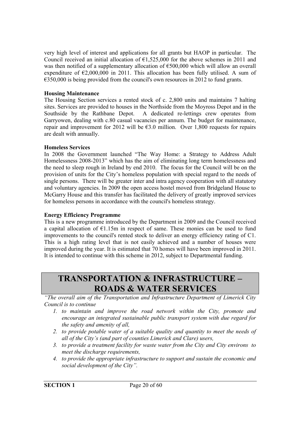very high level of interest and applications for all grants but HAOP in particular. The Council received an initial allocation of  $\epsilon$ 1,525,000 for the above schemes in 2011 and was then notified of a supplementary allocation of  $\epsilon$ 500,000 which will allow an overall expenditure of  $\epsilon$ 2,000,000 in 2011. This allocation has been fully utilised. A sum of  $\epsilon$ 350,000 is being provided from the council's own resources in 2012 to fund grants.

#### **Housing Maintenance**

The Housing Section services a rented stock of c. 2,800 units and maintains 7 halting sites. Services are provided to houses in the Northside from the Moyross Depot and in the Southside by the Rathbane Depot. A dedicated re-lettings crew operates from Garryowen, dealing with c.80 casual vacancies per annum. The budget for maintenance, repair and improvement for 2012 will be  $63.0$  million. Over 1,800 requests for repairs are dealt with annually.

#### **Homeless Services**

In 2008 the Government launched "The Way Home: a Strategy to Address Adult Homelessness 2008-2013" which has the aim of eliminating long term homelessness and the need to sleep rough in Ireland by end 2010. The focus for the Council will be on the provision of units for the City's homeless population with special regard to the needs of single persons. There will be greater inter and intra agency cooperation with all statutory and voluntary agencies. In 2009 the open access hostel moved from Bridgeland House to McGarry House and this transfer has facilitated the delivery of greatly improved services for homeless persons in accordance with the council's homeless strategy.

#### **Energy Efficiency Programme**

This is a new programme introduced by the Department in 2009 and the Council received a capital allocation of  $E1.15m$  in respect of same. These monies can be used to fund improvements to the council's rented stock to deliver an energy efficiency rating of C1. This is a high rating level that is not easily achieved and a number of houses were improved during the year. It is estimated that 70 homes will have been improved in 2011. It is intended to continue with this scheme in 2012, subject to Departmental funding.

## **TRANSPORTATION & INFRASTRUCTURE – ROADS & WATER SERVICES**

*"The overall aim of the Transportation and Infrastructure Department of Limerick City Council is to continue* 

- *1. to maintain and improve the road network within the City, promote and encourage an integrated sustainable public transport system with due regard for the safety and amenity of all,*
- *2. to provide potable water of a suitable quality and quantity to meet the needs of all of the City's (and part of counties Limerick and Clare) users,*
- *3. to provide a treatment facility for waste water from the City and City environs to meet the discharge requirements,*
- *4. to provide the appropriate infrastructure to support and sustain the economic and social development of the City".*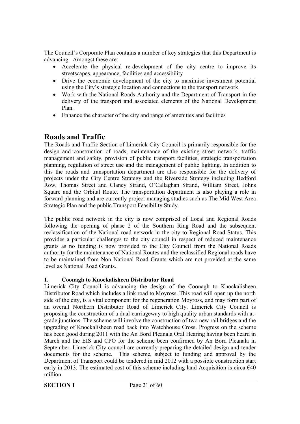The Council's Corporate Plan contains a number of key strategies that this Department is advancing. Amongst these are:

- Accelerate the physical re-development of the city centre to improve its streetscapes, appearance, facilities and accessibility
- Drive the economic development of the city to maximise investment potential using the City's strategic location and connections to the transport network
- Work with the National Roads Authority and the Department of Transport in the delivery of the transport and associated elements of the National Development Plan.
- Enhance the character of the city and range of amenities and facilities

## **Roads and Traffic**

The Roads and Traffic Section of Limerick City Council is primarily responsible for the design and construction of roads, maintenance of the existing street network, traffic management and safety, provision of public transport facilities, strategic transportation planning, regulation of street use and the management of public lighting. In addition to this the roads and transportation department are also responsible for the delivery of projects under the City Centre Strategy and the Riverside Strategy including Bedford Row, Thomas Street and Clancy Strand, O'Callaghan Strand, William Street, Johns Square and the Orbital Route. The transportation department is also playing a role in forward planning and are currently project managing studies such as The Mid West Area Strategic Plan and the public Transport Feasibility Study.

The public road network in the city is now comprised of Local and Regional Roads following the opening of phase 2 of the Southern Ring Road and the subsequent reclassification of the National road network in the city to Regional Road Status. This provides a particular challenges to the city council in respect of reduced maintenance grants as no funding is now provided to the City Council from the National Roads authority for the maintenance of National Routes and the reclassified Regional roads have to be maintained from Non National Road Grants which are not provided at the same level as National Road Grants.

#### **1. Coonagh to Knockalisheen Distributor Road**

Limerick City Council is advancing the design of the Coonagh to Knockalisheen Distributor Road which includes a link road to Moyross. This road will open up the north side of the city, is a vital component for the regeneration Moyross, and may form part of an overall Northern Distributor Road of Limerick City. Limerick City Council is proposing the construction of a dual-carriageway to high quality urban standards with atgrade junctions. The scheme will involve the construction of two new rail bridges and the upgrading of Knockalisheen road back into Watchhouse Cross. Progress on the scheme has been good during 2011 with the An Bord Pleanala Oral Hearing having been heard in March and the EIS and CPO for the scheme been confirmed by An Bord Pleanala in September. Limerick City council are currently preparing the detailed design and tender documents for the scheme. This scheme, subject to funding and approval by the Department of Transport could be tendered in mid 2012 with a possible construction start early in 2013. The estimated cost of this scheme including land Acquisition is circa  $640$ million.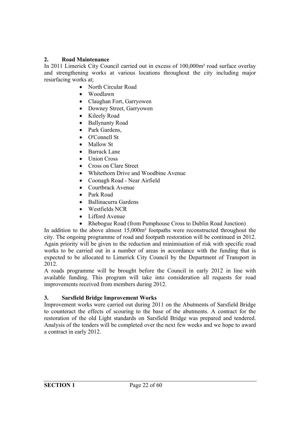#### **2. Road Maintenance**

In 2011 Limerick City Council carried out in excess of 100,000m² road surface overlay and strengthening works at various locations throughout the city including major resurfacing works at;

- North Circular Road
- Woodlawn
- Claughan Fort, Garryowen
- Downey Street, Garryowen
- Kileely Road
- Ballynanty Road
- Park Gardens,
- O'Connell St
- Mallow St
- Barrack Lane
- Union Cross
- Cross on Clare Street
- Whitethorn Drive and Woodbine Avenue
- Coonagh Road Near Airfield
- Courtbrack Avenue
- Park Road
- Ballinacurra Gardens
- Westfields NCR
- Lifford Avenue
- Rhebogue Road (from Pumphouse Cross to Dublin Road Junction)

In addition to the above almost 15,000m² footpaths were reconstructed throughout the city. The ongoing programme of road and footpath restoration will be continued in 2012. Again priority will be given to the reduction and minimisation of risk with specific road works to be carried out in a number of areas in accordance with the funding that is expected to be allocated to Limerick City Council by the Department of Transport in 2012.

A roads programme will be brought before the Council in early 2012 in line with available funding. This program will take into consideration all requests for road improvements received from members during 2012.

#### **3. Sarsfield Bridge Improvement Works**

Improvement works were carried out during 2011 on the Abutments of Sarsfield Bridge to counteract the effects of scouring to the base of the abutments. A contract for the restoration of the old Light standards on Sarsfield Bridge was prepared and tendered. Analysis of the tenders will be completed over the next few weeks and we hope to award a contract in early 2012.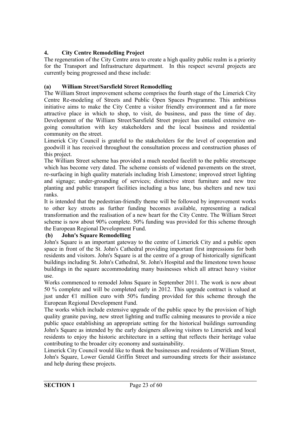#### **4. City Centre Remodelling Project**

The regeneration of the City Centre area to create a high quality public realm is a priority for the Transport and Infrastructure department. In this respect several projects are currently being progressed and these include:

#### **(a) William Street/Sarsfield Street Remodelling**

The William Street improvement scheme comprises the fourth stage of the Limerick City Centre Re-modeling of Streets and Public Open Spaces Programme. This ambitious initiative aims to make the City Centre a visitor friendly environment and a far more attractive place in which to shop, to visit, do business, and pass the time of day. Development of the William Street/Sarsfield Street project has entailed extensive ongoing consultation with key stakeholders and the local business and residential community on the street.

Limerick City Council is grateful to the stakeholders for the level of cooperation and goodwill it has received throughout the consultation process and construction phases of this project.

The William Street scheme has provided a much needed facelift to the public streetscape which has become very dated. The scheme consists of widened pavements on the street, re-surfacing in high quality materials including Irish Limestone; improved street lighting and signage; under-grounding of services; distinctive street furniture and new tree planting and public transport facilities including a bus lane, bus shelters and new taxi ranks.

It is intended that the pedestrian-friendly theme will be followed by improvement works to other key streets as further funding becomes available, representing a radical transformation and the realisation of a new heart for the City Centre. The William Street scheme is now about 90% complete. 50% funding was provided for this scheme through the European Regional Development Fund.

#### **(b) John's Square Remodelling**

John's Square is an important gateway to the centre of Limerick City and a public open space in front of the St. John's Cathedral providing important first impressions for both residents and visitors. John's Square is at the centre of a group of historically significant buildings including St. John's Cathedral, St. John's Hospital and the limestone town house buildings in the square accommodating many businesses which all attract heavy visitor use.

Works commenced to remodel Johns Square in September 2011. The work is now about 50 % complete and will be completed early in 2012. This upgrade contract is valued at just under  $\epsilon$ 1 million euro with 50% funding provided for this scheme through the European Regional Development Fund.

The works which include extensive upgrade of the public space by the provision of high quality granite paving, new street lighting and traffic calming measures to provide a nice public space establishing an appropriate setting for the historical buildings surrounding John's Square as intended by the early designers allowing visitors to Limerick and local residents to enjoy the historic architecture in a setting that reflects their heritage value contributing to the broader city economy and sustainability.

Limerick City Council would like to thank the businesses and residents of William Street, John's Square, Lower Gerald Griffin Street and surrounding streets for their assistance and help during these projects.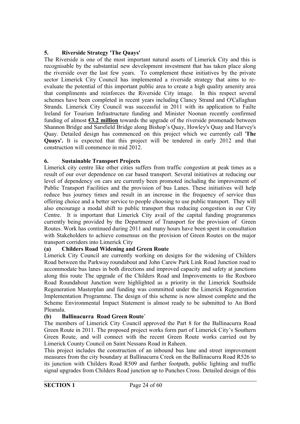#### **5. Riverside Strategy 'The Quays'**

The Riverside is one of the most important natural assets of Limerick City and this is recognisable by the substantial new development investment that has taken place along the riverside over the last few years. To complement these initiatives by the private sector Limerick City Council has implemented a riverside strategy that aims to reevaluate the potential of this important public area to create a high quality amenity area that compliments and reinforces the Riverside City image. In this respect several schemes have been completed in recent years including Clancy Strand and O'Callaghan Strands. Limerick City Council was successful in 2011 with its application to Failte Ireland for Tourism Infrastructure funding and Minister Noonan recently confirmed funding of almost **€3.2 million** towards the upgrade of the riverside promenade between Shannon Bridge and Sarsfield Bridge along Bishop's Quay, Howley's Quay and Harvey's Quay. Detailed design has commenced on this project which we currently call '**The Quays'.** It is expected that this project will be tendered in early 2012 and that construction will commence in mid 2012.

#### **6. Sustainable Transport Projects**

Limerick city centre like other cities suffers from traffic congestion at peak times as a result of our over dependence on car based transport. Several initiatives at reducing our level of dependency on cars are currently been promoted including the improvement of Public Transport Facilities and the provision of bus Lanes. These initiatives will help reduce bus journey times and result in an increase in the frequency of service thus offering choice and a better service to people choosing to use public transport. They will also encourage a modal shift to public transport thus reducing congestion in our City Centre. It is important that Limerick City avail of the capital funding programmes currently being provided by the Department of Transport for the provision of Green Routes. Work has continued during 2011 and many hours have been spent in consultation with Stakeholders to achieve consensus on the provision of Green Routes on the major transport corridors into Limerick City

#### **(a) Childers Road Widening and Green Route**

Limerick City Council are currently working on designs for the widening of Childers Road between the Parkway roundabout and John Carew Park Link Road Junction road to accommodate bus lanes in both directions and improved capacity and safety at junctions along this route The upgrade of the Childers Road and Improvements to the Roxboro Road Roundabout Junction were highlighted as a priority in the Limerick Southside Regeneration Masterplan and funding was committed under the Limerick Regeneration Implementation Programme. The design of this scheme is now almost complete and the Scheme Environmental Impact Statement is almost ready to be submitted to An Bord Pleanala.

#### **(b) Ballinacurra Road Green Route`**

The members of Limerick City Council approved the Part 8 for the Ballinacurra Road Green Route in 2011. The proposed project works form part of Limerick City's Southern Green Route, and will connect with the recent Green Route works carried out by Limerick County Council on Saint Nessans Road in Raheen.

This project includes the construction of an inbound bus lane and street improvement measures from the city boundary at Ballinacurra Creek on the Ballinacurra Road R526 to its junction with Childers Road R509 and further footpath, public lighting and traffic signal upgrades from Childers Road junction up to Punches Cross. Detailed design of this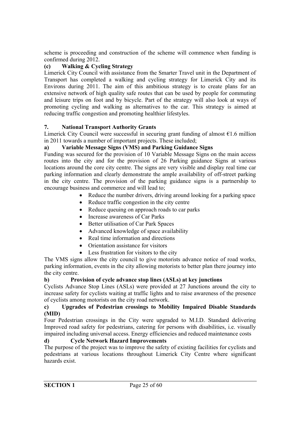scheme is proceeding and construction of the scheme will commence when funding is confirmed during 2012.

#### **(c) Walking & Cycling Strategy**

Limerick City Council with assistance from the Smarter Travel unit in the Department of Transport has completed a walking and cycling strategy for Limerick City and its Environs during 2011. The aim of this ambitious strategy is to create plans for an extensive network of high quality safe routes that can be used by people for commuting and leisure trips on foot and by bicycle. Part of the strategy will also look at ways of promoting cycling and walking as alternatives to the car. This strategy is aimed at reducing traffic congestion and promoting healthier lifestyles.

#### **7. National Transport Authority Grants**

Limerick City Council were successful in securing grant funding of almost  $E1.6$  million in 2011 towards a number of important projects. These included;

#### **a) Variable Message Signs (VMS) and Parking Guidance Signs**

Funding was secured for the provision of 10 Variable Message Signs on the main access routes into the city and for the provision of 26 Parking guidance Signs at various locations around the core city centre. The signs are very visible and display real time car parking information and clearly demonstrate the ample availability of off-street parking in the city centre. The provision of the parking guidance signs is a partnership to encourage business and commerce and will lead to;

- Reduce the number drivers, driving around looking for a parking space
- Reduce traffic congestion in the city centre
- Reduce queuing on approach roads to car parks
- Increase awareness of Car Parks
- Better utilisation of Car Park Spaces
- Advanced knowledge of space availability
- Real time information and directions
- Orientation assistance for visitors
- Less frustration for visitors to the city

The VMS signs allow the city council to give motorists advance notice of road works, parking information, events in the city allowing motorists to better plan there journey into the city centre.

#### **b) Provision of cycle advance stop lines (ASLs) at key junctions**

Cyclists Advance Stop Lines (ASLs) were provided at 27 Junctions around the city to increase safety for cyclists waiting at traffic lights and to raise awareness of the presence of cyclists among motorists on the city road network.

#### **c) Upgrades of Pedestrian crossings to Mobility Impaired Disable Standards (MID)**

Four Pedestrian crossings in the City were upgraded to M.I.D. Standard delivering Improved road safety for pedestrians, catering for persons with disabilities, i.e. visually impaired including universal access. Energy efficiencies and reduced maintenance costs

#### **d) Cycle Network Hazard Improvements**

The purpose of the project was to improve the safety of existing facilities for cyclists and pedestrians at various locations throughout Limerick City Centre where significant hazards exist.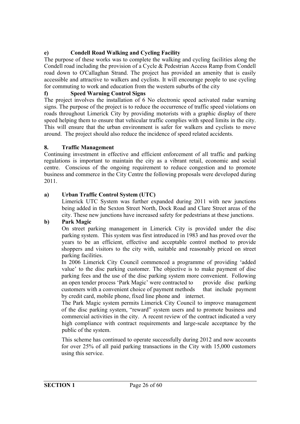#### **e) Condell Road Walking and Cycling Facility**

The purpose of these works was to complete the walking and cycling facilities along the Condell road including the provision of a Cycle & Pedestrian Access Ramp from Condell road down to O'Callaghan Strand. The project has provided an amenity that is easily accessible and attractive to walkers and cyclists. It will encourage people to use cycling for commuting to work and education from the western suburbs of the city

#### **f) Speed Warning Control Signs**

The project involves the installation of 6 No electronic speed activated radar warning signs. The purpose of the project is to reduce the occurrence of traffic speed violations on roads throughout Limerick City by providing motorists with a graphic display of there speed helping them to ensure that vehicular traffic complies with speed limits in the city. This will ensure that the urban environment is safer for walkers and cyclists to move around. The project should also reduce the incidence of speed related accidents.

#### **8. Traffic Management**

Continuing investment in effective and efficient enforcement of all traffic and parking regulations is important to maintain the city as a vibrant retail, economic and social centre. Conscious of the ongoing requirement to reduce congestion and to promote business and commerce in the City Centre the following proposals were developed during 2011.

#### **a) Urban Traffic Control System (UTC)**

Limerick UTC System was further expanded during 2011 with new junctions being added in the Sexton Street North, Dock Road and Clare Street areas of the city. These new junctions have increased safety for pedestrians at these junctions.

#### **b) Park Magic**

On street parking management in Limerick City is provided under the disc parking system. This system was first introduced in 1983 and has proved over the years to be an efficient, effective and acceptable control method to provide shoppers and visitors to the city with, suitable and reasonably priced on street parking facilities.

In 2006 Limerick City Council commenced a programme of providing 'added value' to the disc parking customer. The objective is to make payment of disc parking fees and the use of the disc parking system more convenient. Following an open tender process 'Park Magic' were contracted to provide disc parking customers with a convenient choice of payment methods that include payment by credit card, mobile phone, fixed line phone and internet.

The Park Magic system permits Limerick City Council to improve management of the disc parking system, "reward" system users and to promote business and commercial activities in the city. A recent review of the contract indicated a very high compliance with contract requirements and large-scale acceptance by the public of the system.

This scheme has continued to operate successfully during 2012 and now accounts for over 25% of all paid parking transactions in the City with 15,000 customers using this service.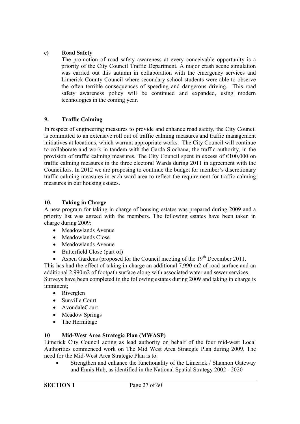#### **c) Road Safety**

The promotion of road safety awareness at every conceivable opportunity is a priority of the City Council Traffic Department. A major crash scene simulation was carried out this autumn in collaboration with the emergency services and Limerick County Council where secondary school students were able to observe the often terrible consequences of speeding and dangerous driving. This road safety awareness policy will be continued and expanded, using modern technologies in the coming year.

#### **9. Traffic Calming**

In respect of engineering measures to provide and enhance road safety, the City Council is committed to an extensive roll out of traffic calming measures and traffic management initiatives at locations, which warrant appropriate works. The City Council will continue to collaborate and work in tandem with the Garda Siochana, the traffic authority, in the provision of traffic calming measures. The City Council spent in excess of  $\epsilon$ 100,000 on traffic calming measures in the three electoral Wards during 2011 in agreement with the Councillors. In 2012 we are proposing to continue the budget for member's discretionary traffic calming measures in each ward area to reflect the requirement for traffic calming measures in our housing estates.

#### **10. Taking in Charge**

A new program for taking in charge of housing estates was prepared during 2009 and a priority list was agreed with the members. The following estates have been taken in charge during 2009:

- Meadowlands Avenue
- Meadowlands Close
- Meadowlands Avenue
- Butterfield Close (part of)

• Aspen Gardens (proposed for the Council meeting of the  $19<sup>th</sup>$  December 2011. This has had the effect of taking in charge an additional 7,990 m2 of road surface and an additional 2,990m2 of footpath surface along with associated water and sewer services. Surveys have been completed in the following estates during 2009 and taking in charge is imminent;

- Riverglen
- Sunville Court
- AvondaleCourt
- Meadow Springs
- The Hermitage

#### **10 Mid-West Area Strategic Plan (MWASP)**

Limerick City Council acting as lead authority on behalf of the four mid-west Local Authorities commenced work on The Mid West Area Strategic Plan during 2009. The need for the Mid-West Area Strategic Plan is to:

 Strengthen and enhance the functionality of the Limerick / Shannon Gateway and Ennis Hub, as identified in the National Spatial Strategy 2002 - 2020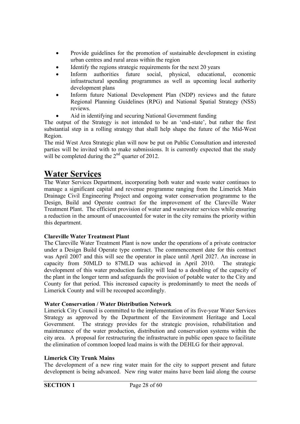- Provide guidelines for the promotion of sustainable development in existing urban centres and rural areas within the region
- Identify the regions strategic requirements for the next 20 years
- Inform authorities future social, physical, educational, economic infrastructural spending programmes as well as upcoming local authority development plans
- Inform future National Development Plan (NDP) reviews and the future Regional Planning Guidelines (RPG) and National Spatial Strategy (NSS) reviews.
- Aid in identifying and securing National Government funding

The output of the Strategy is not intended to be an 'end-state', but rather the first substantial step in a rolling strategy that shall help shape the future of the Mid-West Region.

The mid West Area Strategic plan will now be put on Public Consultation and interested parties will be invited with to make submissions. It is currently expected that the study will be completed during the 2<sup>nd</sup> quarter of 2012.

## **Water Services**

The Water Services Department, incorporating both water and waste water continues to manage a significant capital and revenue programme ranging from the Limerick Main Drainage Civil Engineering Project and ongoing water conservation programme to the Design, Build and Operate contract for the improvement of the Clareville Water Treatment Plant. The efficient provision of water and wastewater services while ensuring a reduction in the amount of unaccounted for water in the city remains the priority within this department.

#### **Clareville Water Treatment Plant**

The Clareville Water Treatment Plant is now under the operations of a private contractor under a Design Build Operate type contract. The commencement date for this contract was April 2007 and this will see the operator in place until April 2027. An increase in capacity from 50MLD to 87MLD was achieved in April 2010. The strategic development of this water production facility will lead to a doubling of the capacity of the plant in the longer term and safeguards the provision of potable water to the City and County for that period. This increased capacity is predominantly to meet the needs of Limerick County and will be recouped accordingly.

#### **Water Conservation / Water Distribution Network**

Limerick City Council is committed to the implementation of its five-year Water Services Strategy as approved by the Department of the Environment Heritage and Local Government. The strategy provides for the strategic provision, rehabilitation and maintenance of the water production, distribution and conservation systems within the city area. A proposal for restructuring the infrastructure in public open space to facilitate the elimination of common looped lead mains is with the DEHLG for their approval.

#### **Limerick City Trunk Mains**

The development of a new ring water main for the city to support present and future development is being advanced. New ring water mains have been laid along the course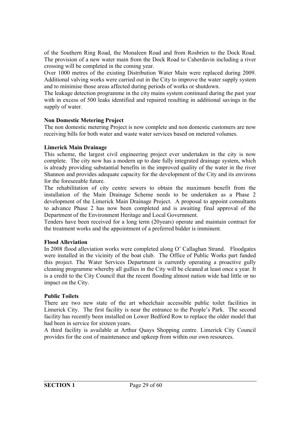of the Southern Ring Road, the Monaleen Road and from Rosbrien to the Dock Road. The provision of a new water main from the Dock Road to Caherdavin including a river crossing will be completed in the coming year.

Over 1000 metres of the existing Distribution Water Main were replaced during 2009. Additional valving works were carried out in the City to improve the water supply system and to minimise those areas affected during periods of works or shutdown.

The leakage detection programme in the city mains system continued during the past year with in excess of 500 leaks identified and repaired resulting in additional savings in the supply of water.

#### **Non Domestic Metering Project**

The non domestic metering Project is now complete and non domestic customers are now receiving bills for both water and waste water services based on metered volumes.

#### **Limerick Main Drainage**

This scheme, the largest civil engineering project ever undertaken in the city is now complete. The city now has a modern up to date fully integrated drainage system, which is already providing substantial benefits in the improved quality of the water in the river Shannon and provides adequate capacity for the development of the City and its environs for the foreseeable future.

The rehabilitation of city centre sewers to obtain the maximum benefit from the installation of the Main Drainage Scheme needs to be undertaken as a Phase 2 development of the Limerick Main Drainage Project. A proposal to appoint consultants to advance Phase 2 has now been completed and is awaiting final approval of the Department of the Environment Heritage and Local Government.

Tenders have been received for a long term (20years) operate and maintain contract for the treatment works and the appointment of a preferred bidder is imminent.

#### **Flood Alleviation**

In 2008 flood alleviation works were completed along O' Callaghan Strand. Floodgates were installed in the vicinity of the boat club. The Office of Public Works part funded this project. The Water Services Department is currently operating a proactive gully cleaning programme whereby all gullies in the City will be cleaned at least once a year. It is a credit to the City Council that the recent flooding almost nation wide had little or no impact on the City.

#### **Public Toilets**

There are two new state of the art wheelchair accessible public toilet facilities in Limerick City. The first facility is near the entrance to the People's Park. The second facility has recently been installed on Lower Bedford Row to replace the older model that had been in service for sixteen years.

A third facility is available at Arthur Quays Shopping centre. Limerick City Council provides for the cost of maintenance and upkeep from within our own resources.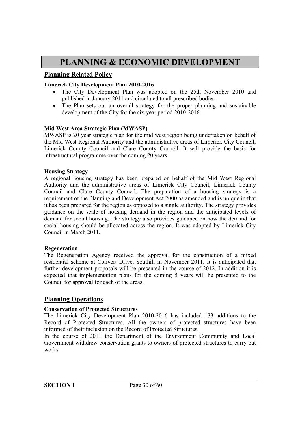## **PLANNING & ECONOMIC DEVELOPMENT**

#### **Planning Related Policy**

#### **Limerick City Development Plan 2010-2016**

- The City Development Plan was adopted on the 25th November 2010 and published in January 2011 and circulated to all prescribed bodies.
- The Plan sets out an overall strategy for the proper planning and sustainable development of the City for the six-year period 2010-2016.

#### **Mid West Area Strategic Plan (MWASP)**

MWASP is 20 year strategic plan for the mid west region being undertaken on behalf of the Mid West Regional Authority and the administrative areas of Limerick City Council, Limerick County Council and Clare County Council. It will provide the basis for infrastructural programme over the coming 20 years.

#### **Housing Strategy**

A regional housing strategy has been prepared on behalf of the Mid West Regional Authority and the administrative areas of Limerick City Council, Limerick County Council and Clare County Council. The preparation of a housing strategy is a requirement of the Planning and Development Act 2000 as amended and is unique in that it has been prepared for the region as opposed to a single authority. The strategy provides guidance on the scale of housing demand in the region and the anticipated levels of demand for social housing. The strategy also provides guidance on how the demand for social housing should be allocated across the region. It was adopted by Limerick City Council in March 2011.

#### **Regeneration**

The Regeneration Agency received the approval for the construction of a mixed residential scheme at Colivert Drive, Southill in November 2011. It is anticipated that further development proposals will be presented in the course of 2012. In addition it is expected that implementation plans for the coming 5 years will be presented to the Council for approval for each of the areas.

#### **Planning Operations**

#### **Conservation of Protected Structures**

The Limerick City Development Plan 2010-2016 has included 133 additions to the Record of Protected Structures. All the owners of protected structures have been informed of their inclusion on the Record of Protected Structures.

In the course of 2011 the Department of the Environment Community and Local Government withdrew conservation grants to owners of protected structures to carry out works.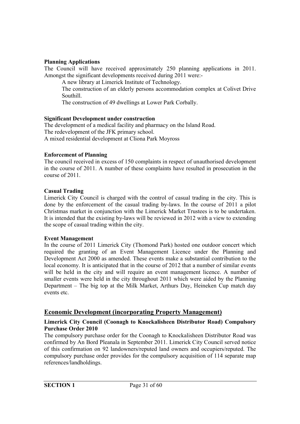#### **Planning Applications**

The Council will have received approximately 250 planning applications in 2011. Amongst the significant developments received during 2011 were:-

A new library at Limerick Institute of Technology.

The construction of an elderly persons accommodation complex at Colivet Drive Southill.

The construction of 49 dwellings at Lower Park Corbally.

#### **Significant Development under construction**

The development of a medical facility and pharmacy on the Island Road. The redevelopment of the JFK primary school. A mixed residential development at Cliona Park Moyross

#### **Enforcement of Planning**

The council received in excess of 150 complaints in respect of unauthorised development in the course of 2011. A number of these complaints have resulted in prosecution in the course of 2011.

#### **Casual Trading**

Limerick City Council is charged with the control of casual trading in the city. This is done by the enforcement of the casual trading by-laws. In the course of 2011 a pilot Christmas market in conjunction with the Limerick Market Trustees is to be undertaken. It is intended that the existing by-laws will be reviewed in 2012 with a view to extending the scope of casual trading within the city.

#### **Event Management**

In the course of 2011 Limerick City (Thomond Park) hosted one outdoor concert which required the granting of an Event Management Licence under the Planning and Development Act 2000 as amended. These events make a substantial contribution to the local economy. It is anticipated that in the course of 2012 that a number of similar events will be held in the city and will require an event management licence. A number of smaller events were held in the city throughout 2011 which were aided by the Planning Department – The big top at the Milk Market, Arthurs Day, Heineken Cup match day events etc.

#### **Economic Development (incorporating Property Management)**

#### **Limerick City Council (Coonagh to Knockalisheen Distributor Road) Compulsory Purchase Order 2010**

The compulsory purchase order for the Coonagh to Knockalisheen Distributor Road was confirmed by An Bord Pleanala in September 2011. Limerick City Council served notice of this confirmation on 92 landowners/reputed land owners and occupiers/reputed. The compulsory purchase order provides for the compulsory acquisition of 114 separate map references/landholdings.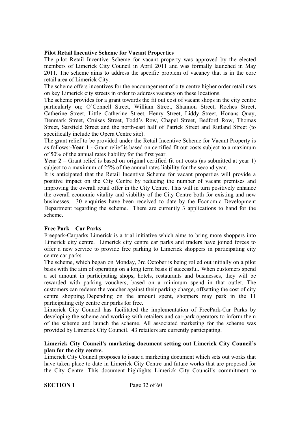#### **Pilot Retail Incentive Scheme for Vacant Properties**

The pilot Retail Incentive Scheme for vacant property was approved by the elected members of Limerick City Council in April 2011 and was formally launched in May 2011. The scheme aims to address the specific problem of vacancy that is in the core retail area of Limerick City.

The scheme offers incentives for the encouragement of city centre higher order retail uses on key Limerick city streets in order to address vacancy on these locations.

The scheme provides for a grant towards the fit out cost of vacant shops in the city centre particularly on; O'Connell Street, William Street, Shannon Street, Roches Street, Catherine Street, Little Catherine Street, Henry Street, Liddy Street, Honans Quay, Denmark Street, Cruises Street, Todd's Row, Chapel Street, Bedford Row, Thomas Street, Sarsfield Street and the north-east half of Patrick Street and Rutland Street (to specifically include the Opera Centre site).

The grant relief to be provided under the Retail Incentive Scheme for Vacant Property is as follows:-**Year 1** - Grant relief is based on certified fit out costs subject to a maximum of 50% of the annual rates liability for the first year.

**Year 2** – Grant relief is based on original certified fit out costs (as submitted at year 1) subject to a maximum of 25% of the annual rates liability for the second year.

It is anticipated that the Retail Incentive Scheme for vacant properties will provide a positive impact on the City Centre by reducing the number of vacant premises and improving the overall retail offer in the City Centre. This will in turn positively enhance the overall economic vitality and viability of the City Centre both for existing and new businesses. 30 enquiries have been received to date by the Economic Development Department regarding the scheme. There are currently 3 applications to hand for the scheme.

#### **Free Park – Car Parks**

Freepark-Carparks Limerick is a trial initiative which aims to bring more shoppers into Limerick city centre. Limerick city centre car parks and traders have joined forces to offer a new service to provide free parking to Limerick shoppers in participating city centre car parks.

The scheme, which began on Monday, 3rd October is being rolled out initially on a pilot basis with the aim of operating on a long term basis if successful. When customers spend a set amount in participating shops, hotels, restaurants and businesses, they will be rewarded with parking vouchers, based on a minimum spend in that outlet. The customers can redeem the voucher against their parking charge, offsetting the cost of city centre shopping. Depending on the amount spent, shoppers may park in the 11 participating city centre car parks for free.

Limerick City Council has facilitated the implementation of FreePark-Car Parks by developing the scheme and working with retailers and car-park operators to inform them of the scheme and launch the scheme. All associated marketing for the scheme was provided by Limerick City Council. 43 retailers are currently participating.

#### **Limerick City Council's marketing document setting out Limerick City Council's plan for the city centre.**

Limerick City Council proposes to issue a marketing document which sets out works that have taken place to date in Limerick City Centre and future works that are proposed for the City Centre. This document highlights Limerick City Council's commitment to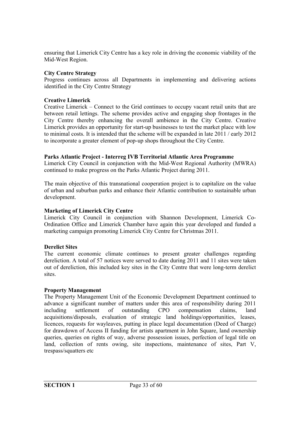ensuring that Limerick City Centre has a key role in driving the economic viability of the Mid-West Region.

#### **City Centre Strategy**

Progress continues across all Departments in implementing and delivering actions identified in the City Centre Strategy

#### **Creative Limerick**

Creative Limerick – Connect to the Grid continues to occupy vacant retail units that are between retail lettings. The scheme provides active and engaging shop frontages in the City Centre thereby enhancing the overall ambience in the City Centre. Creative Limerick provides an opportunity for start-up businesses to test the market place with low to minimal costs. It is intended that the scheme will be expanded in late 2011 / early 2012 to incorporate a greater element of pop-up shops throughout the City Centre.

#### **Parks Atlantic Project - Interreg IVB Territorial Atlantic Area Programme**

Limerick City Council in conjunction with the Mid-West Regional Authority (MWRA) continued to make progress on the Parks Atlantic Project during 2011.

The main objective of this transnational cooperation project is to capitalize on the value of urban and suburban parks and enhance their Atlantic contribution to sustainable urban development.

#### **Marketing of Limerick City Centre**

Limerick City Council in conjunction with Shannon Development, Limerick Co-Ordination Office and Limerick Chamber have again this year developed and funded a marketing campaign promoting Limerick City Centre for Christmas 2011.

#### **Derelict Sites**

The current economic climate continues to present greater challenges regarding dereliction. A total of 57 notices were served to date during 2011 and 11 sites were taken out of dereliction, this included key sites in the City Centre that were long-term derelict sites.

#### **Property Management**

The Property Management Unit of the Economic Development Department continued to advance a significant number of matters under this area of responsibility during 2011 including settlement of outstanding CPO compensation claims, land acquisitions/disposals, evaluation of strategic land holdings/opportunities, leases, licences, requests for wayleaves, putting in place legal documentation (Deed of Charge) for drawdown of Access II funding for artists apartment in John Square, land ownership queries, queries on rights of way, adverse possession issues, perfection of legal title on land, collection of rents owing, site inspections, maintenance of sites, Part V, trespass/squatters etc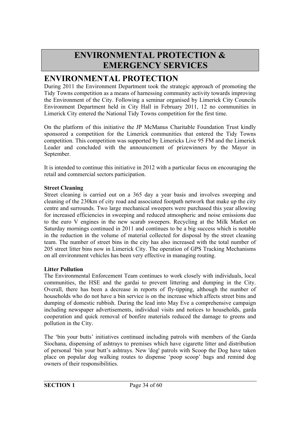## **ENVIRONMENTAL PROTECTION & EMERGENCY SERVICES**

## **ENVIRONMENTAL PROTECTION**

During 2011 the Environment Department took the strategic approach of promoting the Tidy Towns competition as a means of harnessing community activity towards improving the Environment of the City. Following a seminar organised by Limerick City Councils Environment Department held in City Hall in February 2011, 12 no communities in Limerick City entered the National Tidy Towns competition for the first time.

On the platform of this initiative the JP McManus Charitable Foundation Trust kindly sponsored a competition for the Limerick communities that entered the Tidy Towns competition. This competition was supported by Limericks Live 95 FM and the Limerick Leader and concluded with the announcement of prizewinners by the Mayor in September.

It is intended to continue this initiative in 2012 with a particular focus on encouraging the retail and commercial sectors participation.

#### **Street Cleaning**

Street cleaning is carried out on a 365 day a year basis and involves sweeping and cleaning of the 230km of city road and associated footpath network that make up the city centre and surrounds. Two large mechanical sweepers were purchased this year allowing for increased efficiencies in sweeping and reduced atmospheric and noise emissions due to the euro V engines in the new scarab sweepers. Recycling at the Milk Market on Saturday mornings continued in 2011 and continues to be a big success which is notable in the reduction in the volume of material collected for disposal by the street cleaning team. The number of street bins in the city has also increased with the total number of 205 street litter bins now in Limerick City. The operation of GPS Tracking Mechanisms on all environment vehicles has been very effective in managing routing.

#### **Litter Pollution**

The Environmental Enforcement Team continues to work closely with individuals, local communities, the HSE and the gardai to prevent littering and dumping in the City. Overall, there has been a decrease in reports of fly-tipping, although the number of households who do not have a bin service is on the increase which affects street bins and dumping of domestic rubbish. During the lead into May Eve a comprehensive campaign including newspaper advertisements, individual visits and notices to households, garda cooperation and quick removal of bonfire materials reduced the damage to greens and pollution in the City.

The 'bin your butts' initiatives continued including patrols with members of the Garda Siochana, dispensing of ashtrays to premises which have cigarette litter and distribution of personal 'bin your butt's ashtrays. New 'dog' patrols with Scoop the Dog have taken place on popular dog walking routes to dispense 'poop scoop' bags and remind dog owners of their responsibilities.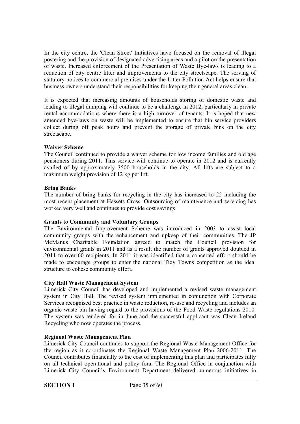In the city centre, the 'Clean Street' Initiatives have focused on the removal of illegal postering and the provision of designated advertising areas and a pilot on the presentation of waste. Increased enforcement of the Presentation of Waste Bye-laws is leading to a reduction of city centre litter and improvements to the city streetscape. The serving of statutory notices to commercial premises under the Litter Pollution Act helps ensure that business owners understand their responsibilities for keeping their general areas clean.

It is expected that increasing amounts of households storing of domestic waste and leading to illegal dumping will continue to be a challenge in 2012, particularly in private rental accommodations where there is a high turnover of tenants. It is hoped that new amended bye-laws on waste will be implemented to ensure that bin service providers collect during off peak hours and prevent the storage of private bins on the city streetscape.

#### **Waiver Scheme**

The Council continued to provide a waiver scheme for low income families and old age pensioners during 2011. This service will continue to operate in 2012 and is currently availed of by approximately 3500 households in the city. All lifts are subject to a maximum weight provision of 12 kg per lift.

#### **Bring Banks**

The number of bring banks for recycling in the city has increased to 22 including the most recent placement at Hassets Cross. Outsourcing of maintenance and servicing has worked very well and continues to provide cost savings

#### **Grants to Community and Voluntary Groups**

The Environmental Improvement Scheme was introduced in 2003 to assist local community groups with the enhancement and upkeep of their communities. The JP McManus Charitable Foundation agreed to match the Council provision for environmental grants in 2011 and as a result the number of grants approved doubled in 2011 to over 60 recipients. In 2011 it was identified that a concerted effort should be made to encourage groups to enter the national Tidy Towns competition as the ideal structure to cohese community effort.

#### **City Hall Waste Management System**

Limerick City Council has developed and implemented a revised waste management system in City Hall. The revised system implemented in conjunction with Corporate Services recognised best practice in waste reduction, re-use and recycling and includes an organic waste bin having regard to the provisions of the Food Waste regulations 2010. The system was tendered for in June and the successful applicant was Clean Ireland Recycling who now operates the process.

#### **Regional Waste Management Plan**

Limerick City Council continues to support the Regional Waste Management Office for the region as it co-ordinates the Regional Waste Management Plan 2006-2011. The Council contributes financially to the cost of implementing this plan and participates fully on all technical operational and policy fora. The Regional Office in conjunction with Limerick City Council's Environment Department delivered numerous initiatives in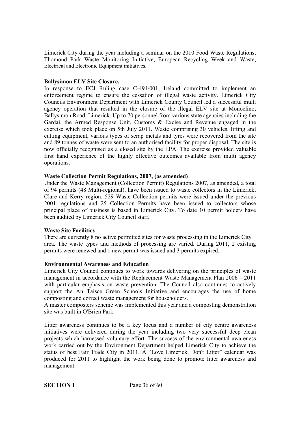Limerick City during the year including a seminar on the 2010 Food Waste Regulations, Thomond Park Waste Monitoring Initiative, European Recycling Week and Waste, Electrical and Electronic Equipment initiatives.

#### **Ballysimon ELV Site Closure.**

In response to ECJ Ruling case C-494/001, Ireland committed to implement an enforcement regime to ensure the cessation of illegal waste activity. Limerick City Councils Environment Department with Limerick County Council led a successful multi agency operation that resulted in the closure of the illegal ELV site at Monoclino, Ballysimon Road, Limerick. Up to 70 personnel from various state agencies including the Gardai, the Armed Response Unit, Customs & Excise and Revenue engaged in the exercise which took place on 5th July 2011. Waste comprising 30 vehicles, lifting and cutting equipment, various types of scrap metals and tyres were recovered from the site and 89 tonnes of waste were sent to an authorised facility for proper disposal. The site is now officially recognised as a closed site by the EPA. The exercise provided valuable first hand experience of the highly effective outcomes available from multi agency operations.

#### **Waste Collection Permit Regulations, 2007, (as amended)**

Under the Waste Management (Collection Permit) Regulations 2007, as amended, a total of 94 permits (48 Multi-regional), have been issued to waste collectors in the Limerick, Clare and Kerry region. 529 Waste Collection permits were issued under the previous 2001 regulations and 25 Collection Permits have been issued to collectors whose principal place of business is based in Limerick City. To date 10 permit holders have been audited by Limerick City Council staff.

#### **Waste Site Facilities**

There are currently 8 no active permitted sites for waste processing in the Limerick City area. The waste types and methods of processing are varied. During 2011, 2 existing permits were renewed and 1 new permit was issued and 3 permits expired.

#### **Environmental Awareness and Education**

Limerick City Council continues to work towards delivering on the principles of waste management in accordance with the Replacement Waste Management Plan 2006 – 2011 with particular emphasis on waste prevention. The Council also continues to actively support the An Taisce Green Schools Initiative and encourages the use of home composting and correct waste management for householders.

A master composters scheme was implemented this year and a composting demonstration site was built in O'Brien Park.

Litter awareness continues to be a key focus and a number of city centre awareness initiatives were delivered during the year including two very successful deep clean projects which harnessed voluntary effort. The success of the environmental awareness work carried out by the Environment Department helped Limerick City to achieve the status of best Fair Trade City in 2011. A "Love Limerick, Don't Litter" calendar was produced for 2011 to highlight the work being done to promote litter awareness and management.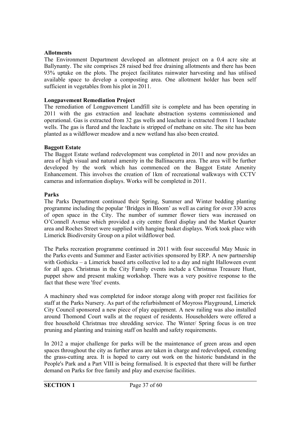#### **Allotments**

The Environment Department developed an allotment project on a 0.4 acre site at Ballynanty. The site comprises 28 raised bed free draining allotments and there has been 93% uptake on the plots. The project facilitates rainwater harvesting and has utilised available space to develop a composting area. One allotment holder has been self sufficient in vegetables from his plot in 2011.

#### **Longpavement Remediation Project**

The remediation of Longpavement Landfill site is complete and has been operating in 2011 with the gas extraction and leachate abstraction systems commissioned and operational. Gas is extracted from 32 gas wells and leachate is extracted from 11 leachate wells. The gas is flared and the leachate is stripped of methane on site. The site has been planted as a wildflower meadow and a new wetland has also been created.

#### **Baggott Estate**

The Baggot Estate wetland redevelopment was completed in 2011 and now provides an area of high visual and natural amenity in the Ballinacurra area. The area will be further developed by the work which has commenced on the Baggot Estate Amenity Enhancement. This involves the creation of 1km of recreational walkways with CCTV cameras and information displays. Works will be completed in 2011.

#### **Parks**

The Parks Department continued their Spring, Summer and Winter bedding planting programme including the popular 'Bridges in Bloom' as well as caring for over 330 acres of open space in the City. The number of summer flower tiers was increased on O'Connell Avenue which provided a city centre floral display and the Market Quarter area and Roches Street were supplied with hanging basket displays. Work took place with Limerick Biodiversity Group on a pilot wildflower bed.

The Parks recreation programme continued in 2011 with four successful May Music in the Parks events and Summer and Easter activities sponsored by ERP. A new partnership with Gothicka – a Limerick based arts collective led to a day and night Halloween event for all ages. Christmas in the City Family events include a Christmas Treasure Hunt, puppet show and present making workshop. There was a very positive response to the fact that these were 'free' events.

A machinery shed was completed for indoor storage along with proper rest facilities for staff at the Parks Nursery. As part of the refurbishment of Moyross Playground, Limerick City Council sponsored a new piece of play equipment. A new railing was also installed around Thomond Court walls at the request of residents. Householders were offered a free household Christmas tree shredding service. The Winter/ Spring focus is on tree pruning and planting and training staff on health and safety requirements.

In 2012 a major challenge for parks will be the maintenance of green areas and open spaces throughout the city as further areas are taken in charge and redeveloped, extending the grass-cutting area. It is hoped to carry out work on the historic bandstand in the People's Park and a Part VIII is being formalised. It is expected that there will be further demand on Parks for free family and play and exercise facilities.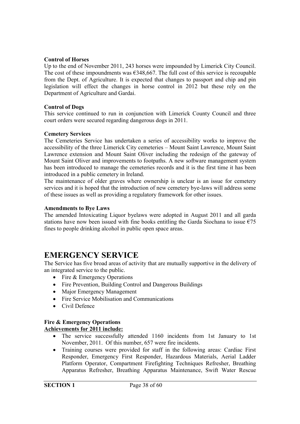#### **Control of Horses**

Up to the end of November 2011, 243 horses were impounded by Limerick City Council. The cost of these impoundments was  $\epsilon$ 348,667. The full cost of this service is recoupable from the Dept. of Agriculture. It is expected that changes to passport and chip and pin legislation will effect the changes in horse control in 2012 but these rely on the Department of Agriculture and Gardai.

#### **Control of Dogs**

This service continued to run in conjunction with Limerick County Council and three court orders were secured regarding dangerous dogs in 2011.

#### **Cemetery Services**

The Cemeteries Service has undertaken a series of accessibility works to improve the accessibility of the three Limerick City cemeteries – Mount Saint Lawrence, Mount Saint Lawrence extension and Mount Saint Oliver including the redesign of the gateway of Mount Saint Oliver and improvements to footpaths. A new software management system has been introduced to manage the cemeteries records and it is the first time it has been introduced in a public cemetery in Ireland.

The maintenance of older graves where ownership is unclear is an issue for cemetery services and it is hoped that the introduction of new cemetery bye-laws will address some of these issues as well as providing a regulatory framework for other issues.

#### **Amendments to Bye Laws**

The amended Intoxicating Liquor byelaws were adopted in August 2011 and all garda stations have now been issued with fine books entitling the Garda Siochana to issue  $\epsilon$ 75 fines to people drinking alcohol in public open space areas.

### **EMERGENCY SERVICE**

The Service has five broad areas of activity that are mutually supportive in the delivery of an integrated service to the public.

- Fire & Emergency Operations
- Fire Prevention, Building Control and Dangerous Buildings
- Major Emergency Management
- Fire Service Mobilisation and Communications
- Civil Defence

#### **Fire & Emergency Operations Achievements for 2011 include:**

- The service successfully attended 1160 incidents from 1st January to 1st November, 2011. Of this number, 657 were fire incidents.
- Training courses were provided for staff in the following areas: Cardiac First Responder, Emergency First Responder, Hazardous Materials, Aerial Ladder Platform Operator, Compartment Firefighting Techniques Refresher, Breathing Apparatus Refresher, Breathing Apparatus Maintenance, Swift Water Rescue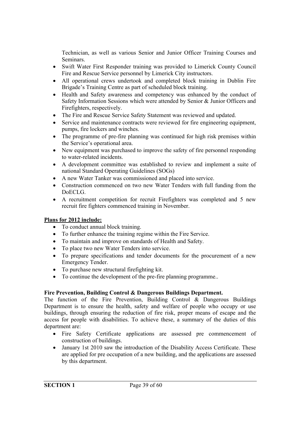Technician, as well as various Senior and Junior Officer Training Courses and Seminars.

- Swift Water First Responder training was provided to Limerick County Council Fire and Rescue Service personnel by Limerick City instructors.
- All operational crews undertook and completed block training in Dublin Fire Brigade's Training Centre as part of scheduled block training.
- Health and Safety awareness and competency was enhanced by the conduct of Safety Information Sessions which were attended by Senior & Junior Officers and Firefighters, respectively.
- The Fire and Rescue Service Safety Statement was reviewed and updated.
- Service and maintenance contracts were reviewed for fire engineering equipment, pumps, fire lockers and winches.
- The programme of pre-fire planning was continued for high risk premises within the Service's operational area.
- New equipment was purchased to improve the safety of fire personnel responding to water-related incidents.
- A development committee was established to review and implement a suite of national Standard Operating Guidelines (SOGs)
- A new Water Tanker was commissioned and placed into service.
- Construction commenced on two new Water Tenders with full funding from the DoECLG.
- A recruitment competition for recruit Firefighters was completed and 5 new recruit fire fighters commenced training in November.

#### **Plans for 2012 include:**

- To conduct annual block training.
- To further enhance the training regime within the Fire Service.
- To maintain and improve on standards of Health and Safety.
- To place two new Water Tenders into service.
- To prepare specifications and tender documents for the procurement of a new Emergency Tender.
- To purchase new structural firefighting kit.
- To continue the development of the pre-fire planning programme..

#### **Fire Prevention, Building Control & Dangerous Buildings Department.**

The function of the Fire Prevention, Building Control & Dangerous Buildings Department is to ensure the health, safety and welfare of people who occupy or use buildings, through ensuring the reduction of fire risk, proper means of escape and the access for people with disabilities. To achieve these, a summary of the duties of this department are:

- Fire Safety Certificate applications are assessed pre commencement of construction of buildings.
- January 1st 2010 saw the introduction of the Disability Access Certificate. These are applied for pre occupation of a new building, and the applications are assessed by this department.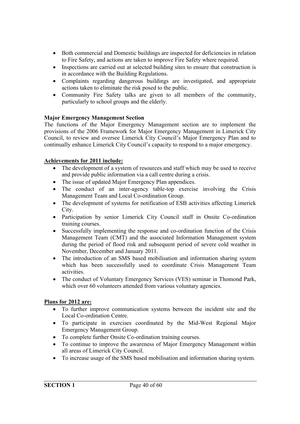- Both commercial and Domestic buildings are inspected for deficiencies in relation to Fire Safety, and actions are taken to improve Fire Safety where required.
- Inspections are carried out at selected building sites to ensure that construction is in accordance with the Building Regulations.
- Complaints regarding dangerous buildings are investigated, and appropriate actions taken to eliminate the risk posed to the public.
- Community Fire Safety talks are given to all members of the community, particularly to school groups and the elderly.

#### **Major Emergency Management Section**

The functions of the Major Emergency Management section are to implement the provisions of the 2006 Framework for Major Emergency Management in Limerick City Council, to review and oversee Limerick City Council's Major Emergency Plan and to continually enhance Limerick City Council's capacity to respond to a major emergency.

#### **Achievements for 2011 include:**

- The development of a system of resources and staff which may be used to receive and provide public information via a call centre during a crisis.
- The issue of updated Major Emergency Plan appendices.
- The conduct of an inter-agency table-top exercise involving the Crisis Management Team and Local Co-ordination Group.
- The development of systems for notification of ESB activities affecting Limerick City.
- Participation by senior Limerick City Council staff in Onsite Co-ordination training courses.
- Successfully implementing the response and co-ordination function of the Crisis Management Team (CMT) and the associated Information Management system during the period of flood risk and subsequent period of severe cold weather in November, December and January 2011.
- The introduction of an SMS based mobilisation and information sharing system which has been successfully used to coordinate Crisis Management Team activities.
- The conduct of Voluntary Emergency Services (VES) seminar in Thomond Park, which over 60 volunteers attended from various voluntary agencies.

#### **Plans for 2012 are:**

- To further improve communication systems between the incident site and the Local Co-ordination Centre.
- To participate in exercises coordinated by the Mid-West Regional Major Emergency Management Group.
- To complete further Onsite Co-ordination training courses.
- To continue to improve the awareness of Major Emergency Management within all areas of Limerick City Council.
- To increase usage of the SMS based mobilisation and information sharing system.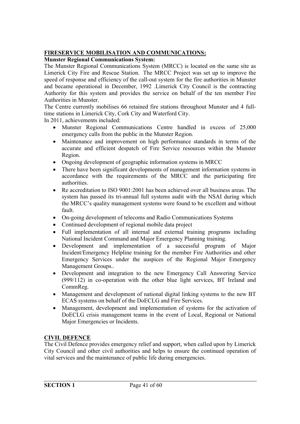#### **FIRESERVICE MOBILISATION AND COMMUNICATIONS:**

#### **Munster Regional Communications System:**

The Munster Regional Communications System (MRCC) is located on the same site as Limerick City Fire and Rescue Station. The MRCC Project was set up to improve the speed of response and efficiency of the call-out system for the fire authorities in Munster and became operational in December, 1992 .Limerick City Council is the contracting Authority for this system and provides the service on behalf of the ten member Fire Authorities in Munster.

The Centre currently mobilises 66 retained fire stations throughout Munster and 4 fulltime stations in Limerick City, Cork City and Waterford City.

In 2011, achievements included:

- Munster Regional Communications Centre handled in excess of 25,000 emergency calls from the public in the Munster Region.
- Maintenance and improvement on high performance standards in terms of the accurate and efficient despatch of Fire Service resources within the Munster Region.
- Ongoing development of geographic information systems in MRCC
- There have been significant developments of management information systems in accordance with the requirements of the MRCC and the participating fire authorities.
- Re accreditation to ISO 9001:2001 has been achieved over all business areas. The system has passed its tri-annual full systems audit with the NSAI during which the MRCC's quality management systems were found to be excellent and without fault.
- On-going development of telecoms and Radio Communications Systems
- Continued development of regional mobile data project
- Full implementation of all internal and external training programs including National Incident Command and Major Emergency Planning training.
- Development and implementation of a successful program of Major Incident/Emergency Helpline training for the member Fire Authorities and other Emergency Services under the auspices of the Regional Major Emergency Management Groups..
- Development and integration to the new Emergency Call Answering Service (999/112) in co-operation with the other blue light services, BT Ireland and CommReg.
- Management and development of national digital linking systems to the new BT ECAS systems on behalf of the DoECLG and Fire Services.
- Management, development and implementation of systems for the activation of DoECLG crisis management teams in the event of Local, Regional or National Major Emergencies or Incidents.

#### **CIVIL DEFENCE**

The Civil Defence provides emergency relief and support, when called upon by Limerick City Council and other civil authorities and helps to ensure the continued operation of vital services and the maintenance of public life during emergencies.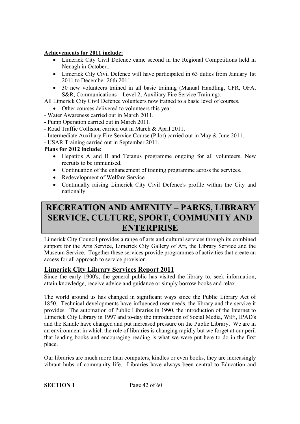#### **Achievements for 2011 include:**

- Limerick City Civil Defence came second in the Regional Competitions held in Nenagh in October..
- Limerick City Civil Defence will have participated in 63 duties from January 1st 2011 to December 26th 2011.
- 30 new volunteers trained in all basic training (Manual Handling, CFR, OFA, S&R, Communications – Level 2, Auxiliary Fire Service Training).

All Limerick City Civil Defence volunteers now trained to a basic level of courses.

- Other courses delivered to volunteers this year
- Water Awareness carried out in March 2011.
- Pump Operation carried out in March 2011.
- Road Traffic Collision carried out in March & April 2011.
- Intermediate Auxiliary Fire Service Course (Pilot) carried out in May & June 2011.

- USAR Training carried out in September 2011.

#### **Plans for 2012 include:**

- Hepatitis A and B and Tetanus programme ongoing for all volunteers. New recruits to be immunised.
- Continuation of the enhancement of training programme across the services.
- Redevelopment of Welfare Service
- Continually raising Limerick City Civil Defence's profile within the City and nationally.

## **RECREATION AND AMENITY – PARKS, LIBRARY SERVICE, CULTURE, SPORT, COMMUNITY AND ENTERPRISE**

Limerick City Council provides a range of arts and cultural services through its combined support for the Arts Service, Limerick City Gallery of Art, the Library Service and the Museum Service. Together these services provide programmes of activities that create an access for all approach to service provision.

#### **Limerick City Library Services Report 2011**

Since the early 1900's, the general public has visited the library to, seek information, attain knowledge, receive advice and guidance or simply borrow books and relax.

The world around us has changed in significant ways since the Public Library Act of 1850. Technical developments have influenced user needs, the library and the service it provides. The automation of Public Libraries in 1990, the introduction of the Internet to Limerick City Library in 1997 and to-day the introduction of Social Media, WiFi, IPAD's and the Kindle have changed and put increased pressure on the Public Library. We are in an environment in which the role of libraries is changing rapidly but we forget at our peril that lending books and encouraging reading is what we were put here to do in the first place.

Our libraries are much more than computers, kindles or even books, they are increasingly vibrant hubs of community life. Libraries have always been central to Education and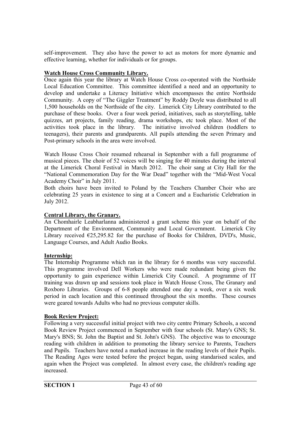self-improvement. They also have the power to act as motors for more dynamic and effective learning, whether for individuals or for groups.

#### **Watch House Cross Community Library.**

Once again this year the library at Watch House Cross co-operated with the Northside Local Education Committee. This committee identified a need and an opportunity to develop and undertake a Literacy Initiative which encompasses the entire Northside Community. A copy of "The Giggler Treatment" by Roddy Doyle was distributed to all 1,500 households on the Northside of the city. Limerick City Library contributed to the purchase of these books. Over a four week period, initiatives, such as storytelling, table quizzes, art projects, family reading, drama workshops, etc took place. Most of the activities took place in the library. The initiative involved children (toddlers to teenagers), their parents and grandparents. All pupils attending the seven Primary and Post-primary schools in the area were involved.

Watch House Cross Choir resumed rehearsal in September with a full programme of musical pieces. The choir of 52 voices will be singing for 40 minutes during the interval at the Limerick Choral Festival in March 2012. The choir sang at City Hall for the "National Commemoration Day for the War Dead" together with the "Mid-West Vocal Academy Choir" in July 2011.

Both choirs have been invited to Poland by the Teachers Chamber Choir who are celebrating 25 years in existence to sing at a Concert and a Eucharistic Celebration in July 2012.

#### **Central Library, the Granary.**

An Chomhairle Leabharlanna administered a grant scheme this year on behalf of the Department of the Environment, Community and Local Government. Limerick City Library received  $\epsilon$ 25,295.82 for the purchase of Books for Children, DVD's, Music, Language Courses, and Adult Audio Books.

#### **Internship:**

The Internship Programme which ran in the library for 6 months was very successful. This programme involved Dell Workers who were made redundant being given the opportunity to gain experience within Limerick City Council. A programme of IT training was drawn up and sessions took place in Watch House Cross, The Granary and Roxboro Libraries. Groups of 6-8 people attended one day a week, over a six week period in each location and this continued throughout the six months. These courses were geared towards Adults who had no previous computer skills.

#### **Book Review Project:**

Following a very successful initial project with two city centre Primary Schools, a second Book Review Project commenced in September with four schools (St. Mary's GNS; St. Mary's BNS; St. John the Baptist and St. John's GNS). The objective was to encourage reading with children in addition to promoting the library service to Parents, Teachers and Pupils. Teachers have noted a marked increase in the reading levels of their Pupils. The Reading Ages were tested before the project began, using standarised scales, and again when the Project was completed. In almost every case, the children's reading age increased.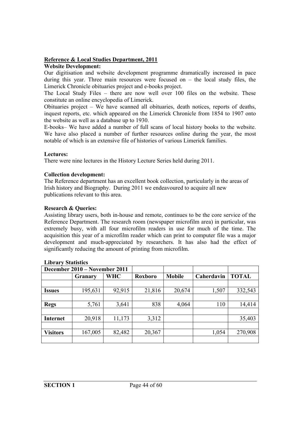#### **Reference & Local Studies Department, 2011**

#### **Website Development:**

Our digitisation and website development programme dramatically increased in pace during this year. Three main resources were focused on  $-$  the local study files, the Limerick Chronicle obituaries project and e-books project.

The Local Study Files – there are now well over 100 files on the website. These constitute an online encyclopedia of Limerick.

Obituaries project – We have scanned all obituaries, death notices, reports of deaths, inquest reports, etc. which appeared on the Limerick Chronicle from 1854 to 1907 onto the website as well as a database up to 1930.

E-books– We have added a number of full scans of local history books to the website. We have also placed a number of further resources online during the year, the most notable of which is an extensive file of histories of various Limerick families.

#### **Lectures:**

There were nine lectures in the History Lecture Series held during 2011.

#### **Collection development:**

The Reference department has an excellent book collection, particularly in the areas of Irish history and Biography. During 2011 we endeavoured to acquire all new publications relevant to this area.

#### **Research & Queries:**

Assisting library users, both in-house and remote, continues to be the core service of the Reference Department. The research room (newspaper microfilm area) in particular, was extremely busy, with all four microfilm readers in use for much of the time. The acquisition this year of a microfilm reader which can print to computer file was a major development and much-appreciated by researchers. It has also had the effect of significantly reducing the amount of printing from microfilm.

| December 2010 – November 2011 |         |            |                |               |            |              |
|-------------------------------|---------|------------|----------------|---------------|------------|--------------|
|                               | Granary | <b>WHC</b> | <b>Roxboro</b> | <b>Mobile</b> | Caherdavin | <b>TOTAL</b> |
|                               |         |            |                |               |            |              |
| <b>Issues</b>                 | 195,631 | 92,915     | 21,816         | 20,674        | 1,507      | 332,543      |
|                               |         |            |                |               |            |              |
| <b>Regs</b>                   | 5,761   | 3,641      | 838            | 4,064         | 110        | 14,414       |
|                               |         |            |                |               |            |              |
| <b>Internet</b>               | 20,918  | 11,173     | 3,312          |               |            | 35,403       |
|                               |         |            |                |               |            |              |
| <b>Visitors</b>               | 167,005 | 82,482     | 20,367         |               | 1,054      | 270,908      |
|                               |         |            |                |               |            |              |

#### **Library Statistics**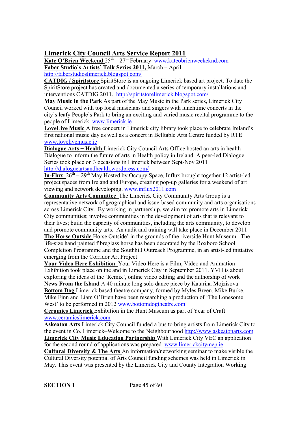#### **Limerick City Council Arts Service Report 2011**

**Kate O'Brien Weekend** 25<sup>th</sup> – 27<sup>th</sup> February www.kateobrienweekeknd.com **Faber Studio's Artists' Talk Series 2011,** March – April http://faberstudioslimerick.blogspot.com/

**CATDIG / Spiritstore** SpiritStore is an ongoing Limerick based art project. To date the SpiritStore project has created and documented a series of temporary installations and interventions CATDIG 2011. http://spiritstorelimerick.blogspot.com/

**May Music in the Park** As part of the May Music in the Park series, Limerick City Council worked with top local musicians and singers with lunchtime concerts in the city's leafy People's Park to bring an exciting and varied music recital programme to the people of Limerick. www.limerick.ie

**LoveLive Music** A free concert in Limerick city library took place to celebrate Ireland's first national music day as well as a concert in Belltable Arts Centre funded by RTE www.lovelivemusic.ie

**Dialogue Arts + Health** Limerick City Council Arts Office hosted an arts in health Dialogue to inform the future of arts in Health policy in Ireland. A peer-led Dialogue Series took place on 3 occasions in Limerick between Sept-Nov 2011 http://dialogueartsandhealth.wordpress.com/

**In-Flux**  $26^{th} - 29^{th}$  May Hosted by Occupy Space, Influx brought together 12 artist-led project spaces from Ireland and Europe, creating pop-up galleries for a weekend of art viewing and network developing. www.influx2011.com

**Community Arts Committee** The Limerick City Community Arts Group is a representative network of geographical and issue-based community and arts organisations across Limerick City. By working in partnership, we aim to: promote arts in Limerick City communities; involve communities in the development of arts that is relevant to their lives; build the capacity of communities, including the arts community, to develop and promote community arts. An audit and training will take place in December 2011 **The Horse Outside** Horse Outside' in the grounds of the riverside Hunt Museum. The life-size hand painted fibreglass horse has been decorated by the Roxboro School Completion Programme and the Southhill Outreach Programme, in an artist-led initiative

emerging from the Corridor Art Project

**Your Video Here Exhibition** Your Video Here is a Film, Video and Animation Exhibition took place online and in Limerick City in September 2011. YVH is about exploring the ideas of the 'Remix', online video editing and the authorship of work **News From the Island** A 40 minute long solo dance piece by Katarina Mojzisova **Bottom Dog** Limerick based theatre company, formed by Myles Breen, Mike Burke, Mike Finn and Liam O'Brien have been researching a production of 'The Lonesome West' to be performed in 2012 www.bottomdogtheatre.com

**Ceramics Limerick** Exhibition in the Hunt Museum as part of Year of Craft www.ceramicslimerick.com

**Askeaton Arts** Limerick City Council funded a bus to bring artists from Limerick City to the event in Co. Limerick–Welcome to the Neighbourhood http://www.askeatonarts.com **Limerick City Music Education Partnership** With Limerick City VEC an application for the second round of applications was prepared. www.limerickcitymep.ie

**Cultural Diversity & The Arts** An information/networking seminar to make visible the Cultural Diversity potential of Arts Council funding schemes was held in Limerick in May. This event was presented by the Limerick City and County Integration Working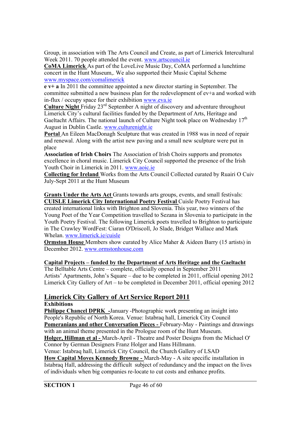Group, in association with The Arts Council and Create, as part of Limerick Intercultural Week 2011. 70 people attended the event. www.artscouncil.je

**CoMA Limerick** As part of the LoveLive Music Day, CoMA performed a lunchtime concert in the Hunt Museum,. We also supported their Music Capital Scheme www.myspace.com/comalimerick

**e v+ a** In 2011 the committee appointed a new director starting in September. The committee submitted a new business plan for the redevelopment of ev+a and worked with in-flux / occupy space for their exhibition www.eva.ie

**Culture Night** Friday 23rd September A night of discovery and adventure throughout Limerick City's cultural facilities funded by the Department of Arts, Heritage and Gaeltacht Affairs. The national launch of Culture Night took place on Wednesday 17<sup>th</sup> August in Dublin Castle. www.culturenight.ie

**Portal** An Eileen MacDonagh Sculpture that was created in 1988 was in need of repair and renewal. Along with the artist new paving and a small new sculpture were put in place

**Association of Irish Choirs** The Association of Irish Choirs supports and promotes excellence in choral music. Limerick City Council supported the presence of the Irish Youth Choir in Limerick in 2011. www.aoic.ie

**Collecting for Ireland** Works from the Arts Council Collected curated by Ruairi O Cuiv July-Sept 2011 at the Hunt Museum

**Grants Under the Arts Act** Grants towards arts groups, events, and small festivals: **CUISLE Limerick City International Poetry Festival** Cuisle Poetry Festival has created international links with Brighton and Slovenia. This year, two winners of the Young Poet of the Year Competition travelled to Sezana in Slovenia to participate in the Youth Poetry Festival. The following Limerick poets travelled to Brighton to participate in The Crawley WordFest: Ciaran O'Driscoll, Jo Slade, Bridget Wallace and Mark Whelan. www.limerick.ie/cuisle

**Ormston House** Members show curated by Alice Maher & Aideen Barry (15 artists) in December 2012. www.ormstonhouse.com

#### **Capital Projects – funded by the Department of Arts Heritage and the Gaeltacht**

The Belltable Arts Centre – complete, officially opened in September 2011 Artists' Apartments, John's Square – due to be completed in 2011, official opening 2012 Limerick City Gallery of Art – to be completed in December 2011, official opening 2012

#### **Limerick City Gallery of Art Service Report 2011**

**Exhibitions**

**Philippe Chancel DPRK -**January -Photographic work presenting an insight into People's Republic of North Korea. Venue: Istabraq hall, Limerick City Council **Pomeranians and other Conversation Pieces -** February-May - Paintings and drawings with an animal theme presented in the Prologue room of the Hunt Museum.

**Holger, Hillman et al -** March-April - Theatre and Poster Designs from the Michael O' Connor by German Designers Franz Holger and Hans Hillmann.

Venue: Istabraq hall, Limerick City Council, the Church Gallery of LSAD

**How Capital Moves Kennedy Browne -** March-May - A site specific installation in Istabraq Hall, addressing the difficult subject of redundancy and the impact on the lives of individuals when big companies re-locate to cut costs and enhance profits.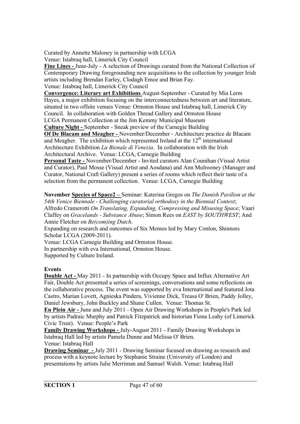Curated by Annette Maloney in partnership with LCGA

Venue: Istabraq hall, Limerick City Council

**Fine Lines -** June-July - A selection of Drawings curated from the National Collection of Contemporary Drawing foregrounding new acquisitions to the collection by younger Irish artists including Brendan Earley, Clodagh Emoe and Brian Fay.

Venue: Istabraq hall, Limerick City Council

**Convergence: Literary art Exhibitions** August-September - Curated by Mia Lerm Hayes, a major exhibition focusing on the interconnectedness between art and literature, situated in two offsite venues Venue: Ormston House and Istabraq hall, Limerick City Council. In collaboration with Golden Thread Gallery and Ormston House

LCGA Permanent Collection at the Jim Kemmy Municipal Museum **Culture Night -** September - Sneak preview of the Carnegie Building

**Of De Blacam and Meagher -** November/December - Architecture practice de Blacam and Meagher. The exhibition which represented Ireland at the  $12<sup>th</sup>$  international Architecture Exhibition *La Bienale di Venezia*. In collaboration with the Irish Architectural Archive. Venue: LCGA, Carnegie Building

**Personal Taste -** November/December - Invited curators Alan Counihan (Visual Artist and Curator), Paul Mosse (Visual Artist and Aosdana) and Ann Mulrooney (Manager and Curator, National Craft Gallery) present a series of rooms which reflect their taste of a selection from the permanent collection. Venue: LCGA, Carnegie Building

**November Species of Space2 –** Seminar: Katerina Gregos on *The Danish Pavilion at the 54th Venice Biennale - Challenging curatorial orthodoxy in the Biennial Context*; Alfredo Cramerotti *On Translating, Expanding, Compressing and Misusing Space*; Vaari Claffey on *Gracelands - Substance Abuse*; Simon Rees on *EAST by SOUTHWEST*; And Annie Fletcher on *Be(com)ing Dutch*.

Expanding on research and outcomes of Six Memos led by Mary Conlon, Shinnors Scholar LCGA (2009-2011).

Venue: LCGA Carnegie Building and Ormston House.

In partnership with eva International, Ormston House.

Supported by Culture Ireland.

#### **Events**

**Double Act -** May 2011 - In partnership with Occupy Space and Influx Alternative Art Fair, Double Act presented a series of screenings, conversations and some reflections on the collaborative process. The event was supported by eva International and featured Jota Castro, Marian Lovett, Agnieska Pindera, Vivienne Dick, Treasa O' Brien, Paddy Jolley, Daniel Jewsbury, John Buckley and Shane Cullen. Venue: Thomas St.

**En Plein Air -** June and July 2011 - Open Air Drawing Workshops in People's Park led by artists Padraic Murphy and Patrick Fitzpatrick and historian Fiona Leahy (of Limerick Civic Trust). Venue: People's Park

**Family Drawing Workshops -** July-August 2011 - Family Drawing Workshops in Istabraq Hall led by artists Pamela Dunne and Melissa O' Brien. Venue: Istabraq Hall

**Drawing Seminar -** July 2011 - Drawing Seminar focused on drawing as research and process with a keynote lecture by Stephanie Straine (University of London) and presentations by artists Julie Merriman and Samuel Walsh. Venue: Istabraq Hall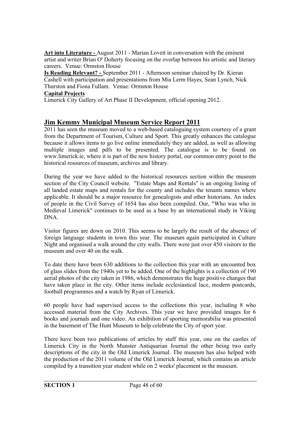**Art into Literature -** August 2011 - Marian Lovett in conversation with the eminent artist and writer Brian O' Doherty focusing on the overlap between his artistic and literary careers. Venue: Ormston House

**Is Reading Relevant? -** September 2011 - Afternoon seminar chaired by Dr. Kieran Cashell with participation and presentations from Mia Lerm Hayes, Sean Lynch, Nick Thurston and Fiona Fullam. Venue: Ormston House

#### **Capital Projects**

Limerick City Gallery of Art Phase II Development, official opening 2012.

#### **Jim Kemmy Municipal Museum Service Report 2011**

2011 has seen the museum moved to a web-based cataloguing system courtesy of a grant from the Department of Tourism, Culture and Sport. This greatly enhances the catalogue because it allows items to go live online immediately they are added, as well as allowing multiple images and pdfs to be presented. The catalogue is to be found on www.limerick.ie, where it is part of the new history portal, our common entry point to the historical resources of museum, archives and library.

During the year we have added to the historical resources section within the museum section of the City Council website. "Estate Maps and Rentals" is an ongoing listing of all landed estate maps and rentals for the county and includes the tenants names where applicable. It should be a major resource for genealogists and other historians. An index of people in the Civil Survey of 1654 has also been compiled. Our, "Who was who in Medieval Limerick" continues to be used as a base by an international study in Viking DNA.

Visitor figures are down on 2010. This seems to be largely the result of the absence of foreign language students in town this year. The museum again participated in Culture Night and organised a walk around the city walls. There were just over 450 visitors to the museum and over 40 on the walk.

To date there have been 630 additions to the collection this year with an uncounted box of glass slides from the 1940s yet to be added. One of the highlights is a collection of 190 aerial photos of the city taken in 1986, which demonstrates the huge positive changes that have taken place in the city. Other items include ecclesiastical lace, modern postcards, football programmes and a watch by Ryan of Limerick.

60 people have had supervised access to the collections this year, including 8 who accessed material from the City Archives. This year we have provided images for 6 books and journals and one video. An exhibition of sporting memorabilia was presented in the basement of The Hunt Museum to help celebrate the City of sport year.

There have been two publications of articles by staff this year, one on the castles of Limerick City in the North Munster Antiquarian Journal the other being two early descriptions of the city in the Old Limerick Journal. The museum has also helped with the production of the 2011 volume of the Old Limerick Journal, which contains an article compiled by a transition year student while on 2 weeks' placement in the museum.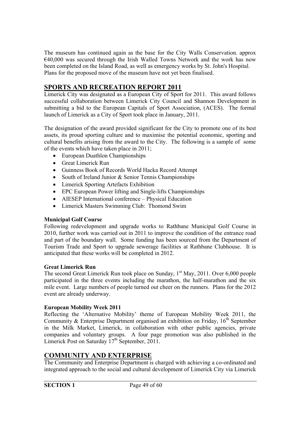The museum has continued again as the base for the City Walls Conservation. approx  $€40,000$  was secured through the Irish Walled Towns Network and the work has now been completed on the Island Road, as well as emergency works by St. John's Hospital. Plans for the proposed move of the museum have not yet been finalised.

#### **SPORTS AND RECREATION REPORT 2011**

Limerick City was designated as a European City of Sport for 2011. This award follows successful collaboration between Limerick City Council and Shannon Development in submitting a bid to the European Capitals of Sport Association, (ACES). The formal launch of Limerick as a City of Sport took place in January, 2011.

The designation of the award provided significant for the City to promote one of its best assets, its proud sporting culture and to maximise the potential economic, sporting and cultural benefits arising from the award to the City. The following is a sample of some of the events which have taken place in 2011;

- European Duathlon Championships
- Great Limerick Run
- Guinness Book of Records World Hacka Record Attempt
- South of Ireland Junior & Senior Tennis Championships
- Limerick Sporting Artefacts Exhibition
- EPC European Power lifting and Single-lifts Championships
- AIESEP International conference Physical Education
- Limerick Masters Swimming Club: Thomond Swim

#### **Municipal Golf Course**

Following redevelopment and upgrade works to Rathbane Municipal Golf Course in 2010, further work was carried out in 2011 to improve the condition of the entrance road and part of the boundary wall. Some funding has been sourced from the Department of Tourism Trade and Sport to upgrade sewerage facilities at Rathbane Clubhouse. It is anticipated that these works will be completed in 2012.

#### **Great Limerick Run**

The second Great Limerick Run took place on Sunday,  $1<sup>st</sup>$  May, 2011. Over 6,000 people participated in the three events including the marathon, the half-marathon and the six mile event. Large numbers of people turned out cheer on the runners. Plans for the 2012 event are already underway.

#### **European Mobility Week 2011**

Reflecting the 'Alternative Mobility' theme of European Mobility Week 2011, the Community & Enterprise Department organised an exhibition on Friday, 16<sup>th</sup> September in the Milk Market, Limerick, in collaboration with other public agencies, private companies and voluntary groups. A four page promotion was also published in the Limerick Post on Saturday  $17<sup>th</sup>$  September, 2011.

#### **COMMUNITY AND ENTERPRISE**

The Community and Enterprise Department is charged with achieving a co-ordinated and integrated approach to the social and cultural development of Limerick City via Limerick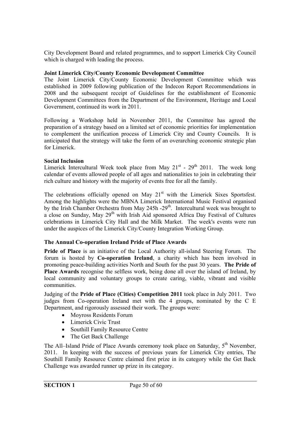City Development Board and related programmes, and to support Limerick City Council which is charged with leading the process.

#### **Joint Limerick City/County Economic Development Committee**

The Joint Limerick City/County Economic Development Committee which was established in 2009 following publication of the Indecon Report Recommendations in 2008 and the subsequent receipt of Guidelines for the establishment of Economic Development Committees from the Department of the Environment, Heritage and Local Government, continued its work in 2011.

Following a Workshop held in November 2011, the Committee has agreed the preparation of a strategy based on a limited set of economic priorities for implementation to complement the unification process of Limerick City and County Councils. It is anticipated that the strategy will take the form of an overarching economic strategic plan for Limerick.

#### **Social Inclusion**

Limerick Intercultural Week took place from May  $21^{st}$  -  $29^{th}$  2011. The week long calendar of events allowed people of all ages and nationalities to join in celebrating their rich culture and history with the majority of events free for all the family.

The celebrations officially opened on May 21<sup>st</sup> with the Limerick Sixes Sportsfest. Among the highlights were the MBNA Limerick International Music Festival organised by the Irish Chamber Orchestra from May 245h -29<sup>th</sup>. Intercultural week was brought to a close on Sunday, May 29<sup>th</sup> with Irish Aid sponsored Africa Day Festival of Cultures celebrations in Limerick City Hall and the Milk Market. The week's events were run under the auspices of the Limerick City/County Integration Working Group.

#### **The Annual Co-operation Ireland Pride of Place Awards**

**Pride of Place** is an initiative of the Local Authority all-island Steering Forum. The forum is hosted by **Co-operation Ireland**, a charity which has been involved in promoting peace-building activities North and South for the past 30 years. **The Pride of Place Awards** recognise the selfless work, being done all over the island of Ireland, by local community and voluntary groups to create caring, viable, vibrant and visible communities.

Judging of the **Pride of Place (Cities) Competition 2011** took place in July 2011. Two judges from Co-operation Ireland met with the 4 groups, nominated by the C E Department, and rigorously assessed their work. The groups were:

- Moyross Residents Forum
- Limerick Civic Trust
- Southill Family Resource Centre
- The Get Back Challenge

The All–Island Pride of Place Awards ceremony took place on Saturday,  $5<sup>th</sup>$  November, 2011. In keeping with the success of previous years for Limerick City entries, The Southill Family Resource Centre claimed first prize in its category while the Get Back Challenge was awarded runner up prize in its category.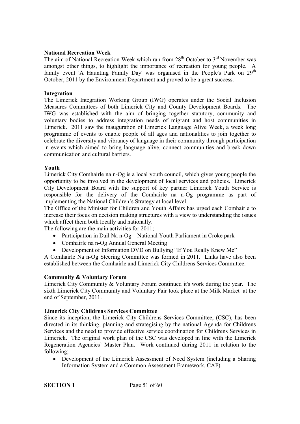#### **National Recreation Week**

The aim of National Recreation Week which ran from  $28<sup>th</sup>$  October to  $3<sup>rd</sup>$  November was amongst other things, to highlight the importance of recreation for young people. A family event 'A Haunting Family Day' was organised in the People's Park on  $29<sup>th</sup>$ October, 2011 by the Environment Department and proved to be a great success.

#### **Integration**

The Limerick Integration Working Group (IWG) operates under the Social Inclusion Measures Committees of both Limerick City and County Development Boards. The IWG was established with the aim of bringing together statutory, community and voluntary bodies to address integration needs of migrant and host communities in Limerick. 2011 saw the inauguration of Limerick Language Alive Week, a week long programme of events to enable people of all ages and nationalities to join together to celebrate the diversity and vibrancy of language in their community through participation in events which aimed to bring language alive, connect communities and break down communication and cultural barriers.

#### **Youth**

Limerick City Comhairle na n-Og is a local youth council, which gives young people the opportunity to be involved in the development of local services and policies. Limerick City Development Board with the support of key partner Limerick Youth Service is responsible for the delivery of the Comhairle na n-Og programme as part of implementing the National Children's Strategy at local level.

The Office of the Minister for Children and Youth Affairs has urged each Comhairle to increase their focus on decision making structures with a view to understanding the issues which affect them both locally and nationally.

The following are the main activities for 2011;

- Participation in Dail Na n-Og National Youth Parliament in Croke park
- Comhairle na n-Og Annual General Meeting
- Development of Information DVD on Bullying "If You Really Knew Me"

A Comhairle Na n-Og Steering Committee was formed in 2011. Links have also been established between the Comhairle and Limerick City Childrens Services Committee.

#### **Community & Voluntary Forum**

Limerick City Community & Voluntary Forum continued it's work during the year. The sixth Limerick City Community and Voluntary Fair took place at the Milk Market at the end of September, 2011.

#### **Limerick City Childrens Services Committee**

Since its inception, the Limerick City Childrens Services Committee, (CSC), has been directed in its thinking, planning and strategising by the national Agenda for Childrens Services and the need to provide effective service coordination for Childrens Services in Limerick. The original work plan of the CSC was developed in line with the Limerick Regeneration Agencies' Master Plan. Work continued during 2011 in relation to the following;

 Development of the Limerick Assessment of Need System (including a Sharing Information System and a Common Assessment Framework, CAF).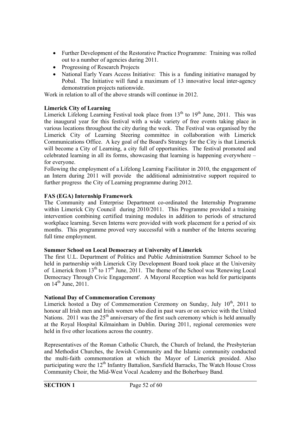- Further Development of the Restorative Practice Programme: Training was rolled out to a number of agencies during 2011.
- Progressing of Research Projects
- National Early Years Access Initiative: This is a funding initiative managed by Pobal. The Initiative will fund a maximum of 13 innovative local inter-agency demonstration projects nationwide.

Work in relation to all of the above strands will continue in 2012.

#### **Limerick City of Learning**

Limerick Lifelong Learning Festival took place from  $13<sup>th</sup>$  to  $19<sup>th</sup>$  June, 2011. This was the inaugural year for this festival with a wide variety of free events taking place in various locations throughout the city during the week. The Festival was organised by the Limerick City of Learning Steering committee in collaboration with Limerick Communications Office. A key goal of the Board's Strategy for the City is that Limerick will become a City of Learning, a city full of opportunities. The festival promoted and celebrated learning in all its forms, showcasing that learning is happening everywhere – for everyone.

Following the employment of a Lifelong Learning Facilitator in 2010, the engagement of an Intern during 2011 will provide the additional administrative support required to further progress the City of Learning programme during 2012.

#### **FAS (EGA) Internship Framework**

The Community and Enterprise Department co-ordinated the Internship Programme within Limerick City Council during 2010/2011. This Programme provided a training intervention combining certified training modules in addition to periods of structured workplace learning. Seven Interns were provided with work placement for a period of six months. This programme proved very successful with a number of the Interns securing full time employment.

#### **Summer School on Local Democracy at University of Limerick**

The first U.L. Department of Politics and Public Administration Summer School to be held in partnership with Limerick City Development Board took place at the University of Limerick from 13<sup>th</sup> to 17<sup>th</sup> June, 2011. The theme of the School was 'Renewing Local Democracy Through Civic Engagement'. A Mayoral Reception was held for participants on 14<sup>th</sup> June, 2011.

#### **National Day of Commemoration Ceremony**

Limerick hosted a Day of Commemoration Ceremony on Sunday, July 10<sup>th</sup>, 2011 to honour all Irish men and Irish women who died in past wars or on service with the United Nations. 2011 was the  $25<sup>th</sup>$  anniversary of the first such ceremony which is held annually at the Royal Hospital Kilmainham in Dublin. During 2011, regional ceremonies were held in five other locations across the country.

Representatives of the Roman Catholic Church, the Church of Ireland, the Presbyterian and Methodist Churches, the Jewish Community and the Islamic community conducted the multi-faith commemoration at which the Mayor of Limerick presided. Also participating were the  $12<sup>th</sup>$  Infantry Battalion, Sarsfield Barracks, The Watch House Cross Community Choir, the Mid-West Vocal Academy and the Boherbuoy Band.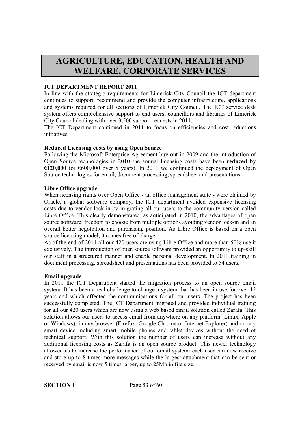## **AGRICULTURE, EDUCATION, HEALTH AND WELFARE, CORPORATE SERVICES**

#### **ICT DEPARTMENT REPORT 2011**

In line with the strategic requirements for Limerick City Council the ICT department continues to support, recommend and provide the computer infrastructure, applications and systems required for all sections of Limerick City Council. The ICT service desk system offers comprehensive support to end users, councillors and libraries of Limerick City Council dealing with over 3,500 support requests in 2011.

The ICT Department continued in 2011 to focus on efficiencies and cost reductions initiatives.

#### **Reduced Licensing costs by using Open Source**

Following the Microsoft Enterprise Agreement buy-out in 2009 and the introduction of Open Source technologies in 2010 the annual licensing costs have been **reduced by**   $\pmb{\epsilon}$ 120,000 (or  $\pmb{\epsilon}$ 600,000 over 5 years). In 2011 we continued the deployment of Open Source technologies for email, document processing, spreadsheet and presentations.

#### **Libre Office upgrade**

When licensing rights over Open Office - an office management suite - were claimed by Oracle, a global software company, the ICT department avoided expensive licensing costs due to vendor lock-in by migrating all our users to the community version called Libre Office. This clearly demonstrated, as anticipated in 2010, the advantages of open source software: freedom to choose from multiple options avoiding vendor lock-in and an overall better negotiation and purchasing position. As Libre Office is based on a open source licensing model, it comes free of charge.

As of the end of 2011 all our 420 users are using Libre Office and more than 50% use it exclusively. The introduction of open source software provided an opportunity to up-skill our staff in a structured manner and enable personal development. In 2011 training in document processing, spreadsheet and presentations has been provided to 54 users.

#### **Email upgrade**

In 2011 the ICT Department started the migration process to an open source email system. It has been a real challenge to change a system that has been in use for over 12 years and which affected the communications for all our users. The project has been successfully completed. The ICT Department migrated and provided individual training for all our 420 users which are now using a web based email solution called Zarafa. This solution allows our users to access email from anywhere on any platform (Linux, Apple or Windows), in any browser (Firefox, Google Chrome or Internet Explorer) and on any smart device including smart mobile phones and tablet devices without the need of technical support. With this solution the number of users can increase without any additional licensing costs as Zarafa is an open source product. This newer technology allowed us to increase the performance of our email system: each user can now receive and store up to 8 times more messages while the largest attachment that can be sent or received by email is now 5 times larger, up to 25Mb in file size.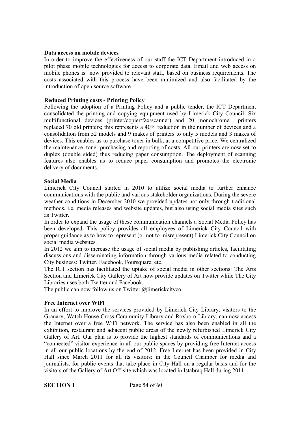#### **Data access on mobile devices**

In order to improve the effectiveness of our staff the ICT Department introduced in a pilot phase mobile technologies for access to corporate data. Email and web access on mobile phones is now provided to relevant staff, based on business requirements. The costs associated with this process have been minimized and also facilitated by the introduction of open source software.

#### **Reduced Printing costs - Printing Policy**

Following the adoption of a Printing Policy and a public tender, the ICT Department consolidated the printing and copying equipment used by Limerick City Council. Six multifunctional devices (printer/copier/fax/scanner) and 20 monochrome printers replaced 70 old printers; this represents a 40% reduction in the number of devices and a consolidation from 52 models and 9 makes of printers to only 5 models and 3 makes of devices. This enables us to purchase toner in bulk, at a competitive price. We centralized the maintenance, toner purchasing and reporting of costs. All our printers are now set to duplex (double sided) thus reducing paper consumption. The deployment of scanning features also enables us to reduce paper consumption and promotes the electronic delivery of documents.

#### **Social Media**

Limerick City Council started in 2010 to utilize social media to further enhance communications with the public and various stakeholder organizations. During the severe weather conditions in December 2010 we provided updates not only through traditional methods, i.e. media releases and website updates, but also using social media sites such as Twitter.

In order to expand the usage of these communication channels a Social Media Policy has been developed. This policy provides all employees of Limerick City Council with proper guidance as to how to represent (or not to misrepresent) Limerick City Council on social media websites.

In 2012 we aim to increase the usage of social media by publishing articles, facilitating discussions and disseminating information through various media related to conducting City business: Twitter, Facebook, Foursquare, etc.

The ICT section has facilitated the uptake of social media in other sections: The Arts Section and Limerick City Gallery of Art now provide updates on Twitter while The City Libraries uses both Twitter and Facebook.

The public can now follow us on Twitter @limerickcityco

#### **Free Internet over WiFi**

In an effort to improve the services provided by Limerick City Library, visitors to the Granary, Watch House Cross Community Library and Roxboro Library, can now access the Internet over a free WiFi network. The service has also been enabled in all the exhibition, restaurant and adjacent public areas of the newly refurbished Limerick City Gallery of Art. Our plan is to provide the highest standards of communications and a "connected" visitor experience in all our public spaces by providing free Internet access in all our public locations by the end of 2012. Free Internet has been provided in City Hall since March 2011 for all its visitors: in the Council Chamber for media and journalists, for public events that take place in City Hall on a regular basis and for the visitors of the Gallery of Art Off-site which was located in Istabraq Hall during 2011.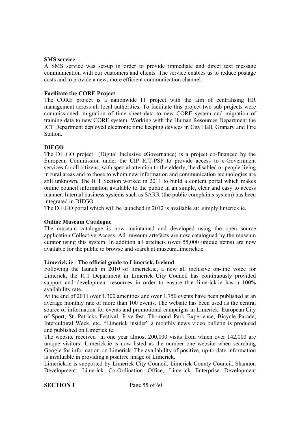#### **SMS service**

A SMS service was set-up in order to provide immediate and direct text message communication with our customers and clients. The service enables us to reduce postage costs and to provide a new, more efficient communication channel.

#### **Facilitate the CORE Project**

The CORE project is a nationwide IT project with the aim of centralising HR management across all local authorities. To facilitate this project two sub projects were commissioned: migration of time sheet data to new CORE system and migration of training data to new CORE system. Working with the Human Resources Department the ICT Department deployed electronic time keeping devices in City Hall, Granary and Fire Station.

#### **DIEGO**

The DIEGO project (Digital Inclusive eGovernance) is a project co-financed by the European Commission under the CIP ICT-PSP to provide access to e-Government services for all citizens, with special attention to the elderly, the disabled or people living in rural areas and to those to whom new information and communication technologies are still unknown. The ICT Section worked in 2011 to build a content portal which makes online council information available to the public in an simple, clear and easy to access manner. Internal business systems such as SARR (the public complaints system) has been integrated in DIEGO.

The DIEGO portal which will be launched in 2012 is available at: simply.limerick.ie.

#### **Online Museum Catalogue**

The museum catalogue is now maintained and developed using the open source application Collective Access. All museum artefacts are now catalogued by the museum curator using this system. In addition all artefacts (over 55,000 unique items) are now available for the public to browse and search at museum.limerick.ie.

#### **Limerick.ie - The official guide to Limerick, Ireland**

Following the launch in 2010 of limerick.ie, a new all inclusive on-line voice for Limerick, the ICT Department in Limerick City Council has continuously provided support and development resources in order to ensure that limerick.ie has a  $100\%$ availability rate.

At the end of 2011 over 1,300 amenities and over 1,750 events have been published at an average monthly rate of more than 100 events. The website has been used as the central source of information for events and promotional campaigns in Limerick: European City of Sport, St. Patricks Festival, Riverfest, Thomond Park Experience, Bicycle Parade, Intercultural Week, etc. "Limerick insider" a monthly news video bulletin is produced and published on Limerick.ie.

The website received in one year almost 200,000 visits from which over 142,000 are unique visitors! Limerick.ie is now listed as the number one website when searching Google for information on Limerick. The availability of positive, up-to-date information is invaluable in providing a positive image of Limerick.

Limerick.ie is supported by Limerick City Council, Limerick County Council, Shannon Development, Limerick Co-Ordination Office, Limerick Enterprise Development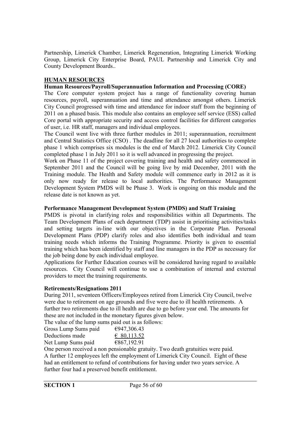Partnership, Limerick Chamber, Limerick Regeneration, Integrating Limerick Working Group, Limerick City Enterprise Board, PAUL Partnership and Limerick City and County Development Boards..

#### **HUMAN RESOURCES**

#### **Human Resources/Payroll/Superannuation Information and Processing (CORE)**

The Core computer system project has a range of functionality covering human resources, payroll, superannuation and time and attendance amongst others. Limerick City Council progressed with time and attendance for indoor staff from the beginning of 2011 on a phased basis. This module also contains an employee self service (ESS) called Core portal with appropriate security and access control facilities for different categories of user, i.e. HR staff, managers and individual employees.

The Council went live with three further modules in 2011; superannuation, recruitment and Central Statistics Office (CSO) . The deadline for all 27 local authorities to complete phase 1 which comprises six modules is the end of March 2012. Limerick City Council completed phase 1 in July 2011 so it is well advanced in progressing the project.

Work on Phase 11 of the project covering training and health and safety commenced in September 2011 and the Council will be going live by mid December, 2011 with the Training module. The Health and Safety module will commence early in 2012 as it is only now ready for release to local authorities. The Performance Management Development System PMDS will be Phase 3. Work is ongoing on this module and the release date is not known as yet.

#### **Performance Management Development System (PMDS) and Staff Training**

PMDS is pivotal in clarifying roles and responsibilities within all Departments. The Team Development Plans of each department (TDP) assist in prioritising activities/tasks and setting targets in-line with our objectives in the Corporate Plan. Personal Development Plans (PDP) clarify roles and also identifies both individual and team training needs which informs the Training Programme. Priority is given to essential training which has been identified by staff and line managers in the PDP as necessary for the job being done by each individual employee.

Applications for Further Education courses will be considered having regard to available resources. City Council will continue to use a combination of internal and external providers to meet the training requirements.

#### **Retirements/Resignations 2011**

During 2011, seventeen Officers/Employees retired from Limerick City Council, twelve were due to retirement on age grounds and five were due to ill health retirements. A further two retirements due to ill health are due to go before year end. The amounts for these are not included in the monetary figures given below.

The value of the lump sums paid out is as follows:

| Gross Lump Sums paid | €947,306.43 |
|----------------------|-------------|
| Deductions made      | € 80,113.52 |
| Net Lump Sums paid   | €867,192.91 |

One person received a non pensionable gratuity. Two death gratuities were paid. A further 12 employees left the employment of Limerick City Council. Eight of these had an entitlement to refund of contributions for having under two years service. A further four had a preserved benefit entitlement.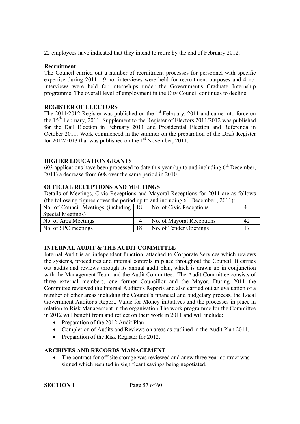22 employees have indicated that they intend to retire by the end of February 2012.

#### **Recruitment**

The Council carried out a number of recruitment processes for personnel with specific expertise during 2011. 9 no. interviews were held for recruitment purposes and 4 no. interviews were held for internships under the Government's Graduate Internship programme. The overall level of employment in the City Council continues to decline.

#### **REGISTER OF ELECTORS**

The  $2011/2012$  Register was published on the  $1<sup>st</sup>$  February, 2011 and came into force on the  $15<sup>th</sup>$  February, 2011. Supplement to the Register of Electors 2011/2012 was published for the Dáil Election in February 2011 and Presidential Election and Referenda in October 2011. Work commenced in the summer on the preparation of the Draft Register for 2012/2013 that was published on the  $1<sup>st</sup>$  November, 2011.

#### **HIGHER EDUCATION GRANTS**

603 applications have been processed to date this year (up to and including  $6<sup>th</sup>$  December, 2011) a decrease from 608 over the same period in 2010.

#### **OFFICIAL RECEPTIONS AND MEETINGS**

Details of Meetings, Civic Receptions and Mayoral Receptions for 2011 are as follows (the following figures cover the period up to and including  $6<sup>th</sup>$  December , 2011):

| No. of Council Meetings (including 18) | No. of Civic Receptions   |    |
|----------------------------------------|---------------------------|----|
| Special Meetings)                      |                           |    |
| No. of Area Meetings                   | No. of Mayoral Receptions | 42 |
| No. of SPC meetings                    | No. of Tender Openings    |    |

#### **INTERNAL AUDIT & THE AUDIT COMMITTEE**

Internal Audit is an independent function, attached to Corporate Services which reviews the systems, procedures and internal controls in place throughout the Council. It carries out audits and reviews through its annual audit plan, which is drawn up in conjunction with the Management Team and the Audit Committee. The Audit Committee consists of three external members, one former Councillor and the Mayor. During 2011 the Committee reviewed the Internal Auditor's Reports and also carried out an evaluation of a number of other areas including the Council's financial and budgetary process, the Local Government Auditor's Report, Value for Money initiatives and the processes in place in relation to Risk Management in the organisation.The work programme for the Committee in 2012 will benefit from and reflect on their work in 2011 and will include:

- Preparation of the 2012 Audit Plan
- Completion of Audits and Reviews on areas as outlined in the Audit Plan 2011.
- Preparation of the Risk Register for 2012.

#### **ARCHIVES AND RECORDS MANAGEMENT**

• The contract for off site storage was reviewed and anew three year contract was signed which resulted in significant savings being negotiated.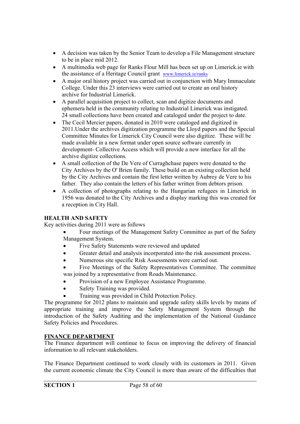- A decision was taken by the Senior Team to develop a File Management structure to be in place mid 2012.
- A multimedia web page for Ranks Flour Mill has been set up on Limerick.ie with the assistance of a Heritage Council grant www.limerick.ie/ranks
- A major oral history project was carried out in conjunction with Mary Immaculate College. Under this 23 interviews were carried out to create an oral history archive for Industrial Limerick.
- A parallel acquisition project to collect, scan and digitize documents and ephemera held in the community relating to Industrial Limerick was instigated. 24 small collections have been created and cataloged under the project to date.
- The Cecil Mercier papers, donated in 2010 were cataloged and digitized in 2011.Under the archives digitization programme the Lloyd papers and the Special Committee Minutes for Limerick City Council were also digitize. These will be made available in a new format under open source software currently in development- Collective Access which will provide a new interface for all the archive digitize collections.
- A small collection of the De Vere of Curraghchase papers were donated to the City Archives by the O' Brien family. These build on an existing collection held by the City Archives and contain the first letter written by Aubrey de Vere to his father. They also contain the letters of his father written from debtors prison.
- A collection of photographs relating to the Hungarian refugees in Limerick in 1956 was donated to the City Archives and a display marking this was created for a reception in City Hall.

#### **HEALTH AND SAFETY**

Key activities during 2011 were as follows

- Four meetings of the Management Safety Committee as part of the Safety Management System.
- Five Safety Statements were reviewed and updated
- Greater detail and analysis incorporated into the risk assessment process.
- Numerous site specific Risk Assessments were carried out.
- Five Meetings of the Safety Representatives Committee. The committee was joined by a representative from Roads Maintenance.
- Provision of a new Employee Assistance Programme.
- Safety Training was provided.
- Training was provided in Child Protection Policy.

The programme for 2012 plans to maintain and upgrade safety skills levels by means of appropriate training and improve the Safety Management System through the introduction of the Safety Auditing and the implementation of the National Guidance Safety Policies and Procedures.

#### **FINANCE DEPARTMENT**

The Finance department will continue to focus on improving the delivery of financial information to all relevant stakeholders.

The Finance Department continued to work closely with its customers in 2011. Given the current economic climate the City Council is more than aware of the difficulties that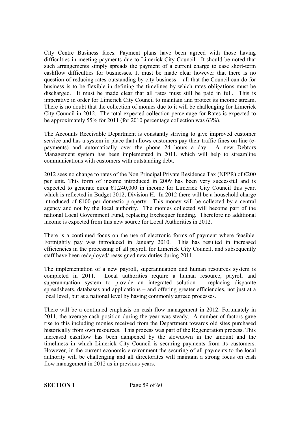City Centre Business faces. Payment plans have been agreed with those having difficulties in meeting payments due to Limerick City Council. It should be noted that such arrangements simply spreads the payment of a current charge to ease short-term cashflow difficulties for businesses. It must be made clear however that there is no question of reducing rates outstanding by city business – all that the Council can do for business is to be flexible in defining the timelines by which rates obligations must be discharged. It must be made clear that all rates must still be paid in full. This is imperative in order for Limerick City Council to maintain and protect its income stream. There is no doubt that the collection of monies due to it will be challenging for Limerick City Council in 2012. The total expected collection percentage for Rates is expected to be approximately 55% for 2011 (for 2010 percentage collection was 63%).

The Accounts Receivable Department is constantly striving to give improved customer service and has a system in place that allows customers pay their traffic fines on line (epayments) and automatically over the phone 24 hours a day. A new Debtors Management system has been implemented in 2011, which will help to streamline communications with customers with outstanding debt.

2012 sees no change to rates of the Non Principal Private Residence Tax (NPPR) of  $\epsilon$ 200 per unit. This form of income introduced in 2009 has been very successful and is expected to generate circa  $\epsilon$ 1,240,000 in income for Limerick City Council this year, which is reflected in Budget 2012, Division H. In 2012 there will be a household charge introduced of  $E100$  per domestic property. This money will be collected by a central agency and not by the local authority. The monies collected will become part of the national Local Government Fund, replacing Exchequer funding. Therefore no additional income is expected from this new source for Local Authorities in 2012.

There is a continued focus on the use of electronic forms of payment where feasible. Fortnightly pay was introduced in January 2010. This has resulted in increased efficiencies in the processing of all payroll for Limerick City Council, and subsequently staff have been redeployed/ reassigned new duties during 2011.

The implementation of a new payroll, superannuation and human resources system is completed in 2011. Local authorities require a human resource, payroll and superannuation system to provide an integrated solution – replacing disparate spreadsheets, databases and applications – and offering greater efficiencies, not just at a local level, but at a national level by having commonly agreed processes.

There will be a continued emphasis on cash flow management in 2012. Fortunately in 2011, the average cash position during the year was steady. A number of factors gave rise to this including monies received from the Department towards old sites purchased historically from own resources. This process was part of the Regeneration process. This increased cashflow has been dampened by the slowdown in the amount and the timeliness in which Limerick City Council is securing payments from its customers. However, in the current economic environment the securing of all payments to the local authority will be challenging and all directorates will maintain a strong focus on cash flow management in 2012 as in previous years.